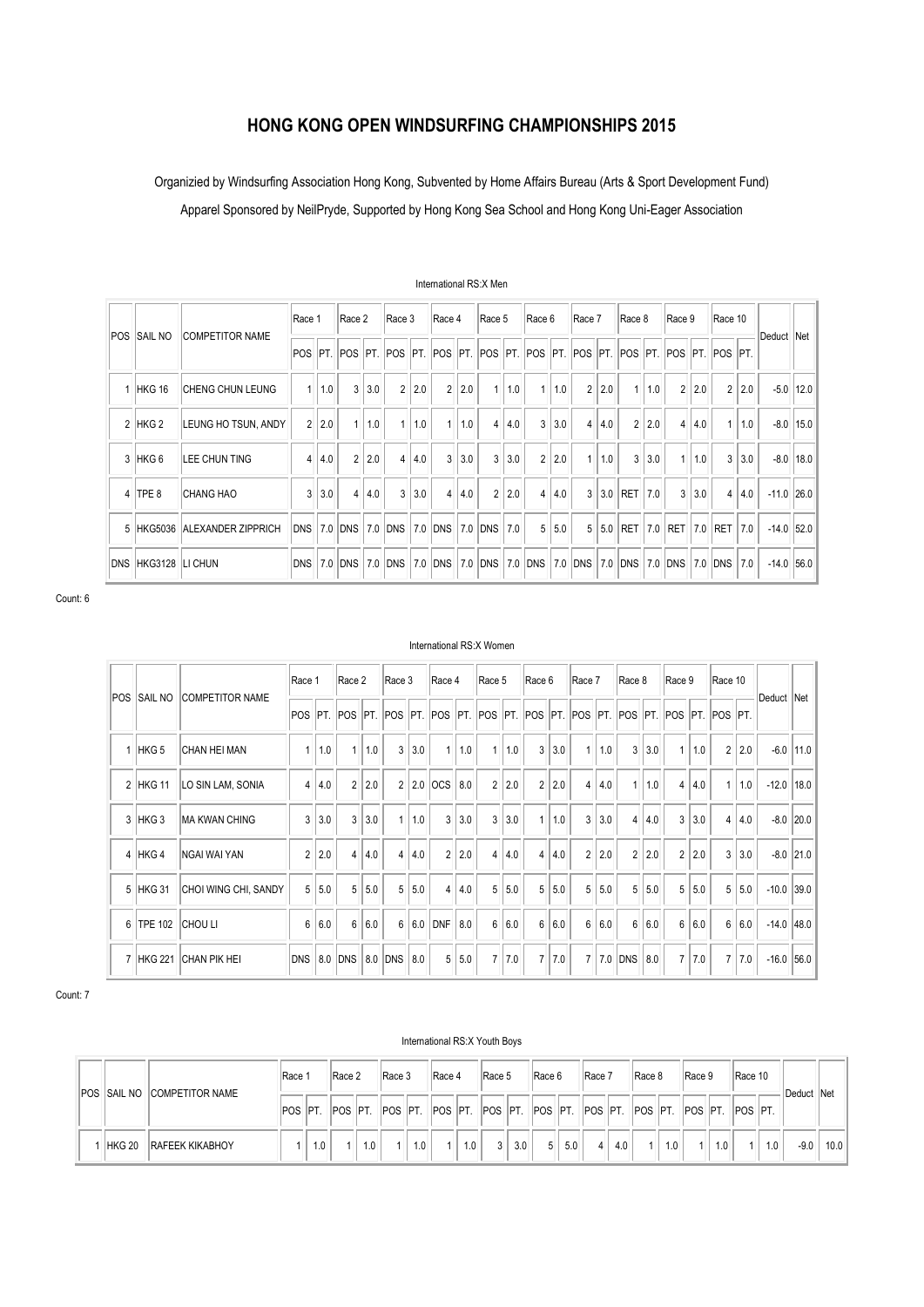# **HONG KONG OPEN WINDSURFING CHAMPIONSHIPS 2015**

Organizied by Windsurfing Association Hong Kong, Subvented by Home Affairs Bureau (Arts & Sport Development Fund)

Apparel Sponsored by NeilPryde, Supported by Hong Kong Sea School and Hong Kong Uni-Eager Association

|            |                    |                              | Race 1         |     | Race 2                                                                                             |     | Race 3          |       | Race 4      |       | Race 5         |     | Race 6         |     | Race 7         |     | Race 8         |     | Race 9         |     | Race 10        |     |         |      |
|------------|--------------------|------------------------------|----------------|-----|----------------------------------------------------------------------------------------------------|-----|-----------------|-------|-------------|-------|----------------|-----|----------------|-----|----------------|-----|----------------|-----|----------------|-----|----------------|-----|---------|------|
| <b>POS</b> | <b>SAIL NO</b>     | <b>COMPETITOR NAME</b>       |                |     | POS  PT.  POS  PT.  POS  PT.  POS  PT.  POS  PT.  POS  PT.  POS  PT.  POS  PT.  POS  PT.  POS  PT. |     |                 |       |             |       |                |     |                |     |                |     |                |     |                |     |                |     | Deduct  | Net  |
|            | HKG 16             | <b>CHENG CHUN LEUNG</b>      | 1              | 1.0 | 3                                                                                                  | 3.0 | $\overline{2}$  | 2.0   | 2           | 2.0   |                | 1.0 |                | 1.0 | $\overline{2}$ | 2.0 | $\mathbf{1}$   | 1.0 | $\overline{2}$ | 2.0 | 2              | 2.0 | $-5.0$  | 12.0 |
|            | $2$ HKG $2$        | LEUNG HO TSUN, ANDY          | $\overline{2}$ | 2.0 | 1                                                                                                  | 1.0 |                 | 1 1.0 |             | 1.0   | 4              | 4.0 | 3              | 3.0 | $\overline{4}$ | 4.0 | $\overline{2}$ | 2.0 | 4              | 4.0 | 1              | 1.0 | $-8.0$  | 15.0 |
|            | 3 HKG 6            | <b>LEE CHUN TING</b>         | $\overline{4}$ | 4.0 | $2^{\circ}$                                                                                        | 2.0 | 4               | 4.0   | 3           | 3.0   | 3              | 3.0 | $\overline{2}$ | 2.0 | 1              | 1.0 | 3              | 3.0 | $\mathbf{1}$   | 1.0 | 3              | 3.0 | $-8.0$  | 18.0 |
|            | $4$ TPE 8          | <b>CHANG HAO</b>             | $3^{\circ}$    | 3.0 | $\overline{4}$                                                                                     | 4.0 | 3               | 3.0   |             | 4 4.0 | $\overline{2}$ | 2.0 | $\overline{4}$ | 4.0 | $\mathbf{3}$   |     | 3.0 RET        | 7.0 | $\mathbf{3}$   | 3.0 | $\overline{4}$ | 4.0 | $-11.0$ | 26.0 |
|            |                    | 5 HKG5036 ALEXANDER ZIPPRICH | IDNS I         |     | $7.0$ DNS                                                                                          |     | 7.0 DNS 7.0 DNS |       |             |       | $ 7.0 $ DNS    | 7.0 | 5              | 5.0 | 5              |     | $5.0$ RET      | 7.0 | RET            | 7.0 | RET            | 7.0 | $-14.0$ | 52.0 |
|            | DNS HKG3128 LICHUN |                              | DNS            | 7.0 | <b>DNS</b>                                                                                         |     | 7.0 DNS         |       | $ 7.0 $ DNS |       | $ 7.0 $ DNS    |     | 7.0 DNS        |     | 7.0 DNS        |     | 7.0 DNS        |     | 7.0 DNS        |     | 7.0 DNS        | 7.0 | $-14.0$ | 56.0 |

International RS:X Men

Count: 6

# POS SAIL NO COMPETITOR NAME Race 1 Race 2 Race 3 Race 4 Race 5 Race 6 Race 7 Race 8 Race 9 Race 10 Deduct Net POS PT. POS PT. POS PT. POS PT. POS PT. POS PT. POS PT. POS PT. POS PT. POS PT. 1 HKG 5 CHAN HEI MAN 1 1.0 1 1.0 1 1.0 3 3.0 1 1.0 1 1.0 3 3.0 1 1.0 3 3.0 1 1.0 3 3.0 1 1.0 2 2.0 -6.0 11.0 2 HKG 11 LO SIN LAM, SONIA 4 4.0 2 2.0 2 2.0 CCS 8.0 2 2.0 2 2.0 4 4.0 1 1.0 4 4.0 1 1.0 -12.0 18.0 3 HKG 3 MA KWAN CHING 3 3.0 3 3.0 1 1.0 3 3.0 3 3.0 1 1.0 3 3.0 4 4.0 3 3.0 4 4.0 3.0 4 4.0 4 HKG 4 NGAI WAI YAN 2 2.0 4 4.0 4 4.0 2 2.0 4 4.0 4 4.0 4 4.0 2 2.0 2 2.0 2 2.0 2 2.0 3 3.0 -8.0 21.0 5 HKG 31 CHOI WING CHI, SANDY 5 5.0 5 5.0 5 5.0 4 4.0 5 5.0 5 5.0 5 5.0 5 5.0 5 5.0 5 5.0 -10.0 39.0 6 TPE 102 CHOU LI 6 | 6.0 | 6 | 6.0 | 6 | 6.0 | DNF | 8.0 | 6 | 6.0 | 6 | 6.0 | 6 | 6.0 | 6 | 6.0 | 6 | 6.0 | -14.0 |48.0 7 HKG 221 CHAN PIK HEI DNS 8.0 DNS 8.0 DNS 8.0 DNS 8.0 5 5.0 7 7.0 7 7.0 7 7.0 DNS 8.0 7 7.0 7 7.0 -16.0 56.0

Count: 7

#### International RS:X Youth Boys

|                    |                        | Race            |     | Race 2        |     | Race 3          |     | Race 4 |     | Race 5         |     | Race 6         |     | Race 7 |     | Race 8                                                          |     | Race 9 |     | Race 10        |     |        |      |
|--------------------|------------------------|-----------------|-----|---------------|-----|-----------------|-----|--------|-----|----------------|-----|----------------|-----|--------|-----|-----------------------------------------------------------------|-----|--------|-----|----------------|-----|--------|------|
| <b>POS SAIL NO</b> | <b>COMPETITOR NAME</b> | <b>IPOS PT.</b> |     | <b>POS PT</b> |     | <b>IPOS PT.</b> |     |        |     |                |     |                |     |        |     | POS  PT.   POS  PT.   POS  PT.   POS  PT.   POS  PT.   POS  PT. |     |        |     | <b>POS PT.</b> |     | Deduct | ∣Net |
| HKG 20             | <b>RAFEEK KIKABHOY</b> |                 | 1.0 |               | 1.0 |                 | 1.0 |        | 1.0 | 3 <sup>1</sup> | 3.0 | 5 <sup>1</sup> | 5.0 |        | 4.0 |                                                                 | 1.0 |        | 1.0 |                | 1.0 | $-9.0$ | 10.0 |

# International RS:X Women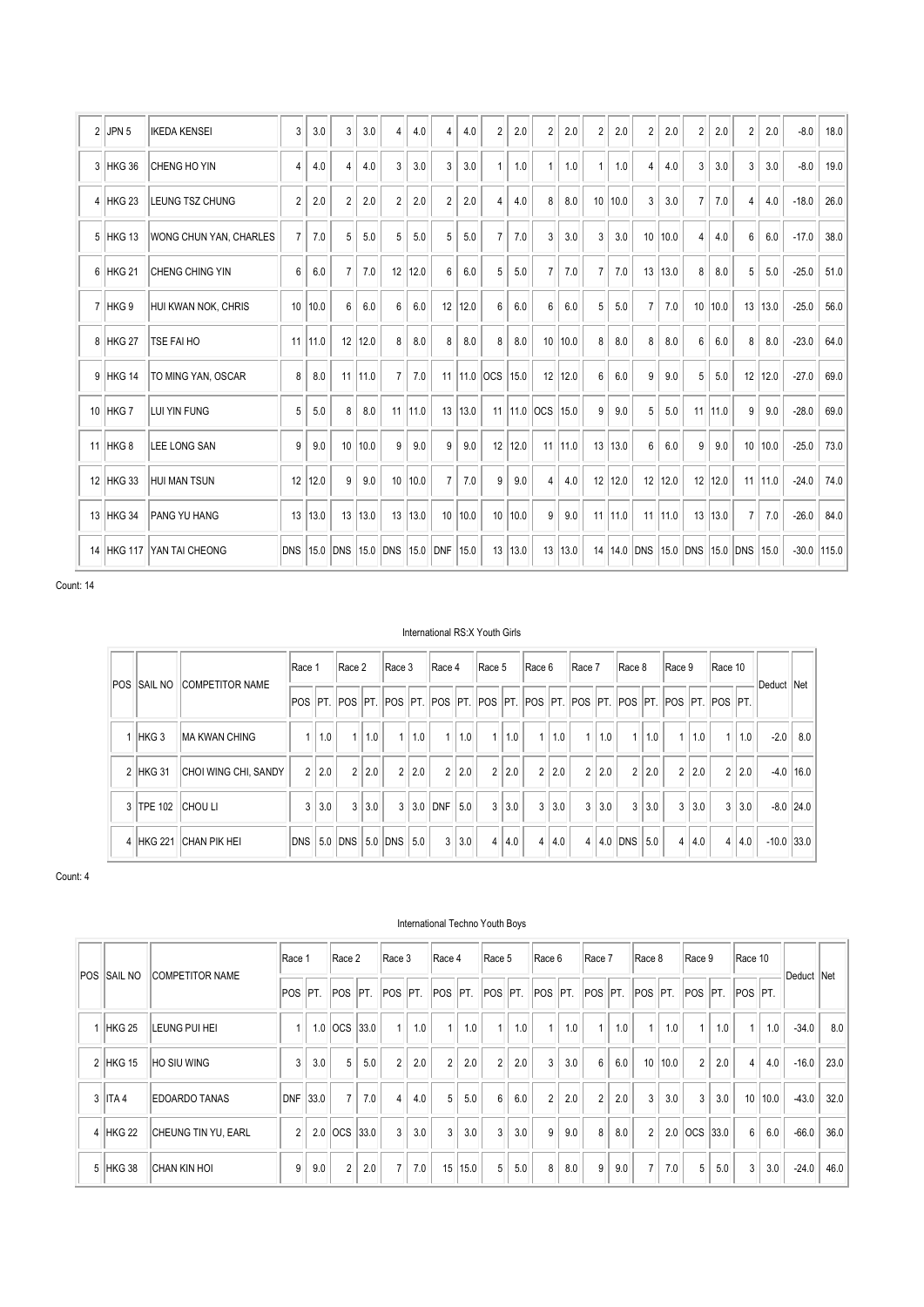| $\overline{2}$  | JPN <sub>5</sub>  | <b>IKEDA KENSEI</b>    | 3              | 3.0  | 3              | 3.0  | 4              | 4.0  | 4              | 4.0    | $\overline{2}$ | 2.0         | $\overline{c}$ | 2.0         | $\overline{2}$ | 2.0      | $\overline{2}$ | 2.0  | 2              | 2.0  | $\overline{2}$   | 2.0       | $-8.0$  | 18.0  |
|-----------------|-------------------|------------------------|----------------|------|----------------|------|----------------|------|----------------|--------|----------------|-------------|----------------|-------------|----------------|----------|----------------|------|----------------|------|------------------|-----------|---------|-------|
| $\mathbf{3}$    | HKG 36            | CHENG HO YIN           | 4              | 4.0  | $\overline{4}$ | 4.0  | 3              | 3.0  | 3              | 3.0    | 1              | 1.0         |                | 1.0         |                | 1.0      | $\overline{4}$ | 4.0  | 3              | 3.0  | 3                | 3.0       | $-8.0$  | 19.0  |
| 4               | HKG <sub>23</sub> | <b>LEUNG TSZ CHUNG</b> | $\overline{2}$ | 2.0  | $\overline{2}$ | 2.0  | $\overline{2}$ | 2.0  | $\overline{2}$ | 2.0    | 4              | 4.0         | 8              | 8.0         | 10             | 10.0     | 3              | 3.0  | $\overline{7}$ | 7.0  | 4                | 4.0       | $-18.0$ | 26.0  |
| 5               | HKG 13            | WONG CHUN YAN, CHARLES | $\overline{7}$ | 7.0  | 5              | 5.0  | 5              | 5.0  | 5              | 5.0    | $\overline{7}$ | 7.0         | 3              | 3.0         | 3              | 3.0      | 10             | 10.0 | 4              | 4.0  | $\boldsymbol{6}$ | 6.0       | $-17.0$ | 38.0  |
| 6               | HKG <sub>21</sub> | <b>CHENG CHING YIN</b> | 6              | 6.0  | $\overline{7}$ | 7.0  | 12             | 12.0 | 6              | 6.0    | 5              | 5.0         | $\overline{7}$ | 7.0         | $\overline{7}$ | 7.0      | 13             | 13.0 | 8              | 8.0  | 5                | 5.0       | $-25.0$ | 51.0  |
|                 | 7 HKG 9           | HUI KWAN NOK, CHRIS    | 10             | 10.0 | $6\phantom{1}$ | 6.0  | 6              | 6.0  | 12             | 12.0   | 6              | 6.0         | $6\phantom{1}$ | 6.0         | 5              | 5.0      | $\overline{7}$ | 7.0  | 10             | 10.0 | 13               | 13.0      | $-25.0$ | 56.0  |
| 8               | HKG <sub>27</sub> | TSE FAI HO             | 11             | 11.0 | 12             | 12.0 | 8              | 8.0  | 8              | 8.0    | 8              | 8.0         | 10             | 10.0        | 8              | 8.0      | 8              | 8.0  | 6              | 6.0  | 8                | 8.0       | $-23.0$ | 64.0  |
| 9               | HKG 14            | TO MING YAN, OSCAR     | 8              | 8.0  | 11             | 11.0 | $\overline{7}$ | 7.0  | 11             | $11.0$ | locs           | 15.0        |                | $12$   12.0 | 6              | 6.0      | 9              | 9.0  | 5              | 5.0  | 12               | 12.0      | $-27.0$ | 69.0  |
| 10 <sup>1</sup> | HKG 7             | LUI YIN FUNG           | 5              | 5.0  | 8              | 8.0  | 11             | 11.0 | 13             | 13.0   |                | $11$   11.0 | locs           | 15.0        | 9              | 9.0      | 5              | 5.0  | 11             | 11.0 | 9                | 9.0       | $-28.0$ | 69.0  |
| 11              | HKG <sub>8</sub>  | LEE LONG SAN           | 9              | 9.0  | 10             | 10.0 | 9              | 9.0  | 9              | 9.0    |                | 12 12.0     | 11             | 11.0        |                | 13 13.0  | 6              | 6.0  | 9              | 9.0  | 10               | 10.0      | $-25.0$ | 73.0  |
|                 | 12 HKG 33         | <b>HUI MAN TSUN</b>    | 12             | 12.0 | 9              | 9.0  | 10             | 10.0 | $\overline{7}$ | 7.0    | 9              | 9.0         | $\overline{4}$ | 4.0         | 12             | 12.0     | 12             | 12.0 | 12             | 12.0 |                  | $11$ 11.0 | $-24.0$ | 74.0  |
| 13              | HKG 34            | <b>PANG YU HANG</b>    | 13             | 13.0 | 13             | 13.0 | 13             | 13.0 | 10             | 10.0   |                | 10 10.0     | 9              | 9.0         | 11             | 11.0     | 11             | 11.0 | 13             | 13.0 | $\overline{7}$   | 7.0       | $-26.0$ | 84.0  |
| 14              | <b>HKG 117</b>    | YAN TAI CHEONG         | <b>DNS</b>     | 15.0 | <b>DNS</b>     | 15.0 | DNS            | 15.0 | <b>DNF</b>     | 15.0   |                | 13 13.0     | 13             | 13.0        | 14             | 14.0 DNS |                | 15.0 | DNS            | 15.0 | DNS              | 15.0      | $-30.0$ | 115.0 |

#### International RS:X Youth Girls

| POS <sup>-</sup> | <b>SAIL NO</b>    | <b>COMPETITOR NAME</b> | Race 1         |       | Race 2                                                                                   |     | Race 3         |     | Race 4         |     | Race 5         |       | Race 6         |     | Race 7         |     | Race 8         |       | Race 9         |     | Race 10        |     |              |            |
|------------------|-------------------|------------------------|----------------|-------|------------------------------------------------------------------------------------------|-----|----------------|-----|----------------|-----|----------------|-------|----------------|-----|----------------|-----|----------------|-------|----------------|-----|----------------|-----|--------------|------------|
|                  |                   |                        |                |       | IPOS PT. POS PT. POS PT. POS PT. POS PT. POS PT. POS PT. POS PT. POS PT. POS PT. POS PT. |     |                |     |                |     |                |       |                |     |                |     |                |       |                |     |                |     | Deduct       | <b>Net</b> |
|                  | <b>HKG3</b>       | <b>IMA KWAN CHING</b>  |                | 1.0   | $\overline{1}$                                                                           | 1.0 |                | 1.0 | 1              | 1.0 | 1              | 1.0   | $\mathbf{1}$   | 1.0 | $\mathbf{1}$   | 1.0 | $\overline{1}$ | 1.0   | $\mathbf{1}$   | 1.0 | $\mathbf{1}$   | 1.0 | $-2.0$       | 8.0        |
|                  | 2 HKG 31          | CHOI WING CHI, SANDY   |                | 2 2.0 | $\overline{2}$                                                                           | 2.0 | $\overline{2}$ | 2.0 | $\overline{2}$ | 2.0 |                | 2 2.0 | $\overline{2}$ | 2.0 | 2 <sup>1</sup> | 2.0 |                | 2 2.0 | $\overline{2}$ | 2.0 | $\overline{2}$ | 2.0 | $-4.0$       | 16.0       |
|                  | 3 TPE 102 CHOU LI |                        | 3 <sup>1</sup> | 3.0   | 3                                                                                        | 3.0 | $\mathbf{3}$   |     | $3.0$ DNF      | 5.0 | 3              | 3.0   | $\mathbf{3}$   | 3.0 | $\overline{3}$ | 3.0 | $\overline{3}$ | 3.0   | $\overline{3}$ | 3.0 | 3              | 3.0 | $-8.0$ 24.0  |            |
|                  | 4 HKG 221         | <b>CHAN PIK HEI</b>    |                |       | DNS 5.0 DNS 5.0 DNS                                                                      |     |                | 5.0 | 3              | 3.0 | $\overline{4}$ | 4.0   | $\overline{4}$ | 4.0 | $\overline{4}$ |     | 4.0 DNS        | 5.0   | $\overline{4}$ | 4.0 | 4              | 4.0 | $-10.0$ 33.0 |            |

Count: 4

| <b>POS SAIL NO</b> | <b>COMPETITOR NAME</b> | Race 1     |      | Race 2         |     | Race 3         |     | Race 4         |      | Race 5         |     | Race 6         |     | Race 7          |     | Race 8         |         | Race 9                 |      | Race 10        |      | Deduct Net |      |
|--------------------|------------------------|------------|------|----------------|-----|----------------|-----|----------------|------|----------------|-----|----------------|-----|-----------------|-----|----------------|---------|------------------------|------|----------------|------|------------|------|
|                    |                        | <b>POS</b> | IPT. | POS PT.        |     | POS PT.        |     | POS PT.        |      | POS PT.        |     |                |     | POS PT. POS PT. |     | POS PT.        |         | <b>POS PT. POS PT.</b> |      |                |      |            |      |
| HKG <sub>25</sub>  | LEUNG PUI HEI          |            | 1.0  | OCS 33.0       |     | $\overline{1}$ | 1.0 | $\mathbf{1}$   | 1.0  | 1 <sup>1</sup> | 1.0 | 1              | 1.0 | 1 <sup>1</sup>  | 1.0 |                | 1.0     | $\overline{1}$         | 1.0  | $\overline{1}$ | 1.0  | $-34.0$    | 8.0  |
| 2 HKG 15           | <b>HO SIU WING</b>     | 3          | 3.0  | 5              | 5.0 | $\overline{2}$ | 2.0 | $\overline{2}$ | 2.0  | $\overline{2}$ | 2.0 | 3              | 3.0 | 6               | 6.0 |                | 10 10.0 | $\overline{2}$         | 2.0  | 4              | 4.0  | $-16.0$    | 23.0 |
| $3$ ITA 4          | <b>EDOARDO TANAS</b>   | <b>DNF</b> | 33.0 | $\overline{7}$ | 7.0 | $\overline{4}$ | 4.0 | 5 <sup>5</sup> | 5.0  | 6              | 6.0 | $\overline{2}$ | 2.0 | $\overline{2}$  | 2.0 | 3              | 3.0     | 3                      | 3.0  | 10             | 10.0 | $-43.0$    | 32.0 |
| 4 HKG 22           | CHEUNG TIN YU, EARL    | 2          | 2.0  | OCS 33.0       |     | 3              | 3.0 | $\mathbf{3}$   | 3.0  | $\mathbf{3}$   | 3.0 | 9              | 9.0 | 8               | 8.0 | 2              |         | $2.0$ $OCS$            | 33.0 | 6              | 6.0  | $-66.0$    | 36.0 |
| 5 HKG 38           | <b>CHAN KIN HOL</b>    | 9          | 9.0  | $\overline{2}$ | 2.0 | $\overline{7}$ | 7.0 | 15             | 15.0 | $5^{\circ}$    | 5.0 | 8              | 8.0 | 9               | 9.0 | $\overline{7}$ | 7.0     | 5                      | 5.0  | 3              | 3.0  | $-24.0$    | 46.0 |

#### International Techno Youth Boys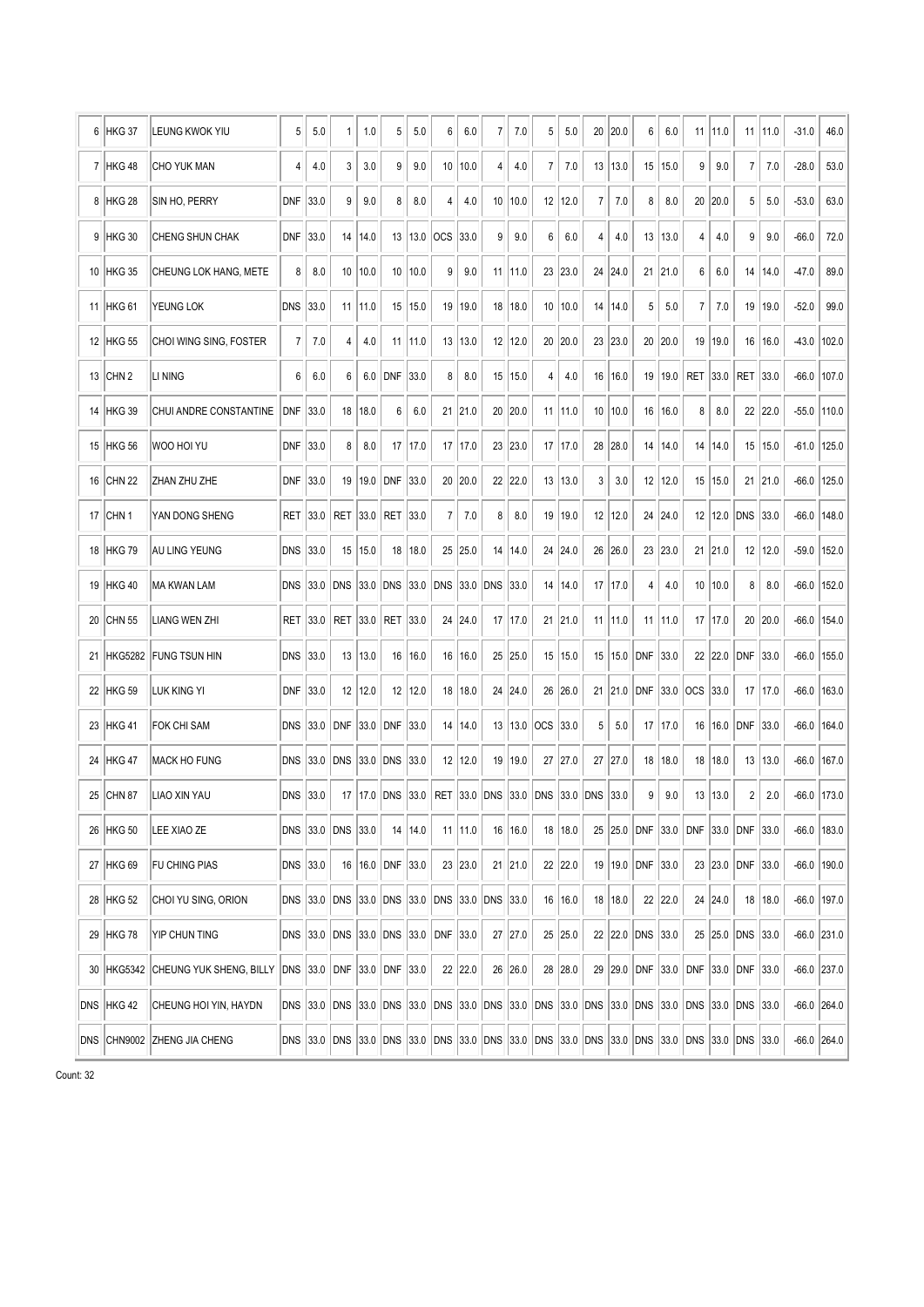| 6  | HKG 37           | LEUNG KWOK YIU              | 5          | 5.0  | 1                 | 1.0             | 5                                            | 5.0       | 6               | 6.0         | 7                 | 7.0       | 5          | 5.0         | 20                                                                                                          | 20.0      | 6                | 6.0     |                                    | 11 11.0   | 11               | 11.0    | $-31.0$ | 46.0          |
|----|------------------|-----------------------------|------------|------|-------------------|-----------------|----------------------------------------------|-----------|-----------------|-------------|-------------------|-----------|------------|-------------|-------------------------------------------------------------------------------------------------------------|-----------|------------------|---------|------------------------------------|-----------|------------------|---------|---------|---------------|
|    | 7 HKG 48         | <b>CHO YUK MAN</b>          | 4          | 4.0  | 3                 | 3.0             | 9                                            | 9.0       | 10 <sup>°</sup> | 10.0        | 4                 | 4.0       | 7          | 7.0         | 13                                                                                                          | 13.0      | 15               | 15.0    | 9                                  | 9.0       | $\overline{7}$   | 7.0     | $-28.0$ | 53.0          |
| 8  | <b>HKG 28</b>    | SIN HO, PERRY               | DNF        | 33.0 | 9                 | 9.0             | 8                                            | 8.0       | 4               | 4.0         |                   | 10 10.0   | 12         | 12.0        | 7                                                                                                           | 7.0       | $\bf 8$          | 8.0     | 20                                 | 20.0      | 5                | 5.0     | $-53.0$ | 63.0          |
| 9  | <b>HKG 30</b>    | CHENG SHUN CHAK             | <b>DNF</b> | 33.0 | 14                | 14.0            |                                              | 13   13.0 | <b>OCS</b>      | 33.0        | 9                 | 9.0       | 6          | 6.0         | 4                                                                                                           | 4.0       | 13               | 13.0    | 4                                  | 4.0       | 9                | 9.0     | $-66.0$ | 72.0          |
| 10 | HKG 35           | CHEUNG LOK HANG, METE       | 8          | 8.0  | 10                | 10.0            | 10 <sup>1</sup>                              | 10.0      | 9               | 9.0         | 11                | 11.0      | 23         | 23.0        | 24                                                                                                          | 24.0      | 21               | 21.0    | 6                                  | 6.0       | 14               | 14.0    | -47.0   | 89.0          |
| 11 | <b>HKG 61</b>    | YEUNG LOK                   | <b>DNS</b> | 33.0 | 11                | 11.0            | 15 <sup>15</sup>                             | 15.0      | 19              | 19.0        |                   | 18 18.0   | 10         | 10.0        | 14                                                                                                          | 14.0      | 5                | 5.0     | 7                                  | 7.0       | 19               | 19.0    | $-52.0$ | 99.0          |
| 12 | <b>HKG 55</b>    | CHOI WING SING, FOSTER      | 7          | 7.0  | 4                 | 4.0             | 11                                           | 11.0      | 13              | 13.0        |                   | 12 12.0   | 20         | 20.0        | 23                                                                                                          | 23.0      | 20               | 20.0    | 19                                 | 19.0      | 16               | 16.0    | $-43.0$ | 102.0         |
| 13 | CHN <sub>2</sub> | LI NING                     | 6          | 6.0  | 6                 | 6.0             | DNF                                          | 33.0      | 8               | 8.0         |                   | 15   15.0 | 4          | 4.0         | 16                                                                                                          | 16.0      | 19               | 19.0    | <b>RET</b>                         | 33.0      | RET              | 33.0    | $-66.0$ | 107.0         |
| 14 | <b>HKG 39</b>    | CHUI ANDRE CONSTANTINE      | DNF        | 33.0 | 18                | 18.0            | 6                                            | 6.0       |                 | 21 21.0     |                   | 20 20.0   |            | $11$   11.0 | 10                                                                                                          | 10.0      | 16               | 16.0    | 8                                  | 8.0       |                  | 22 22.0 | $-55.0$ | 110.0         |
| 15 | <b>HKG 56</b>    | WOO HOI YU                  | DNF        | 33.0 | 8                 | 8.0             | 17                                           | 17.0      |                 | 17   17.0   |                   | 23 23.0   | 17         | 17.0        | 28                                                                                                          | 28.0      | 14               | 14.0    | 14                                 | 14.0      | 15               | 15.0    | $-61.0$ | 125.0         |
| 16 | <b>CHN 22</b>    | ZHAN ZHU ZHE                | DNF        | 33.0 | 19                | 19.0            | DNF                                          | 33.0      |                 | 20 20.0     |                   | 22 22.0   | 13         | 13.0        | 3                                                                                                           | 3.0       | 12               | 12.0    | 15 <sup>2</sup>                    | 15.0      | 21               | 21.0    | $-66.0$ | 125.0         |
| 17 | ICHN 1           | YAN DONG SHENG              | RET        | 33.0 | <b>RET</b>        | 33.0            | RET                                          | 33.0      | $\overline{7}$  | 7.0         | 8                 | 8.0       | 19         | 19.0        | 12                                                                                                          | 12.0      | 24               | 24.0    | 12 <sup>1</sup>                    | 12.0      | DNS              | 33.0    | $-66.0$ | 148.0         |
| 18 | <b>HKG 79</b>    | <b>AU LING YEUNG</b>        | <b>DNS</b> | 33.0 | 15                | 15.0            | 18                                           | 18.0      |                 | 25 25.0     |                   | 14   14.0 |            | 24 24.0     | 26                                                                                                          | 26.0      |                  | 23 23.0 |                                    | 21 21.0   | 12               | 12.0    | $-59.0$ | 152.0         |
| 19 | <b>HKG 40</b>    | MA ƘWAN LAM                 | <b>DNS</b> | 33.0 | <b>DNS</b>        | 33.0            | <b>DNS</b>                                   | 33.0      | DNS             | 33.0        | <b>DNS</b>        | 33.0      | 14         | 14.0        | 17                                                                                                          | 17.0      | 4                | 4.0     | 10 <sup>°</sup>                    | 10.0      | 8                | 8.0     | $-66.0$ | 152.0         |
| 20 | <b>CHN 55</b>    | LIANG WEN ZHI               | <b>RET</b> | 33.0 | RET               | 33.0            | RET                                          | 33.0      |                 | 24 24.0     |                   | 17   17.0 | 21         | 21.0        | 11                                                                                                          | 11.0      | 11               | 11.0    | 17                                 | 17.0      | 20               | 20.0    | $-66.0$ | 154.0         |
| 21 | <b>HKG5282</b>   | FUNG TSUN HIN               | <b>DNS</b> | 33.0 | 13                | 13.0            | 16                                           | 16.0      |                 | 16   16.0   |                   | 25 25.0   | 15         | 15.0        | 15                                                                                                          | 15.0      | DNF              | 33.0    | 22                                 | 22.0      | DNF              | 33.0    | $-66.0$ | 155.0         |
| 22 | HKG 59           | iluk King yi                | <b>DNF</b> | 33.0 |                   | 12   12.0       |                                              | 12   12.0 |                 | 18   18.0   |                   | 24 24.0   | 26         | 26.0        | 21                                                                                                          | 21.0      | DNF              | 33.0    | OCS 33.0                           |           | 17               | 17.0    | $-66.0$ | 163.0         |
| 23 | <b>HKG 41</b>    | <b>FOK CHI SAM</b>          | <b>DNS</b> | 33.0 | <b>DNF</b>        | 33.0            | DNF                                          | 33.0      | 14              | 14.0        |                   | 13 13.0   | <b>OCS</b> | 33.0        | 5                                                                                                           | 5.0       | 17               | 17.0    | 16                                 | 16.0      | DNF              | 33.0    | $-66.0$ | 164.0         |
| 24 | HKG 47           | <b>MACK HO FUNG</b>         | <b>DNS</b> | 33.0 | <b>DNS</b>        | 33.0 DNS        |                                              | 33.0      |                 | 12 12.0     |                   | 19 19.0   | 27         | 27.0        |                                                                                                             | 27 27.0   |                  | 18 18.0 |                                    | 18   18.0 | 13               | 13.0    | $-66.0$ | 167.0         |
| 25 | CHN 87           | LIAO XIN YAU                | <b>DNS</b> | 33.0 |                   | 17   17.0   DNS |                                              | 33.0      |                 |             | RET 33.0 DNS 33.0 |           |            |             | DNS 33.0 DNS 33.0                                                                                           |           | 9                | 9.0     |                                    | 13   13.0 | 2                | 2.0     | $-66.0$ | 173.0         |
|    | 26   HKG 50      | LEE XIAO ZE                 |            |      | DNS 33.0 DNS 33.0 |                 |                                              | 14   14.0 |                 | $11$   11.0 |                   | 16   16.0 |            | $18$   18.0 |                                                                                                             |           |                  |         | 25 25.0 DNF 33.0 DNF 33.0 DNF 33.0 |           |                  |         | $-66.0$ | 183.0         |
|    | 27 HKG 69        | <b>FU CHING PIAS</b>        | DNS 33.0   |      |                   |                 | 16 16.0 DNF 33.0                             |           |                 | 23 23.0     |                   | $21$ 21.0 |            | 22 22.0     |                                                                                                             |           | 19 19.0 DNF 33.0 |         |                                    |           | 23 23.0 DNF 33.0 |         | $-66.0$ | 190.0         |
|    | 28 HKG 52        | CHOI YU SING, ORION         |            |      |                   |                 | DNS 33.0 DNS 33.0 DNS 33.0 DNS 33.0 DNS 33.0 |           |                 |             |                   |           |            | 16 16.0     |                                                                                                             | 18   18.0 |                  | 22 22.0 |                                    | 24 24.0   |                  | 18 18.0 | $-66.0$ | 197.0         |
|    | 29 HKG 78        | YIP CHUN TING               |            |      |                   |                 | DNS 33.0 DNS 33.0 DNS 33.0                   |           | DNF 33.0        |             |                   | 27 27.0   |            | 25 25.0     |                                                                                                             |           | 22 22.0 DNS 33.0 |         |                                    |           | 25 25.0 DNS 33.0 |         |         | $-66.0$ 231.0 |
|    | 30 HKG5342       | CHEUNG YUK SHENG, BILLY     |            |      |                   |                 | DNS 33.0 DNF 33.0 DNF 33.0                   |           |                 | 22 22.0     |                   | 26 26.0   |            | 28 28.0     |                                                                                                             |           |                  |         | 29 29.0 DNF 33.0 DNF 33.0 DNF 33.0 |           |                  |         |         | $-66.0$ 237.0 |
|    | DNS HKG 42       | CHEUNG HOI YIN, HAYDN       |            |      | DNS 33.0 DNS      |                 |                                              |           |                 |             |                   |           |            |             | 33.0 DNS 33.0 DNS 33.0 DNS 33.0 DNS 33.0 DNS 33.0 DNS 33.0 DNS 33.0 DNS 33.0 DNS 33.0                       |           |                  |         |                                    |           |                  |         |         | $-66.0$ 264.0 |
|    |                  | DNS CHN9002 ZHENG JIA CHENG |            |      |                   |                 |                                              |           |                 |             |                   |           |            |             | DNS 33.0 DNS 33.0 DNS 33.0 DNS 33.0 DNS 33.0 DNS 33.0 DNS 33.0 DNS 33.0 DNS 33.0 DNS 33.0 DNS 33.0 DNS 33.0 |           |                  |         |                                    |           |                  |         |         | $-66.0$ 264.0 |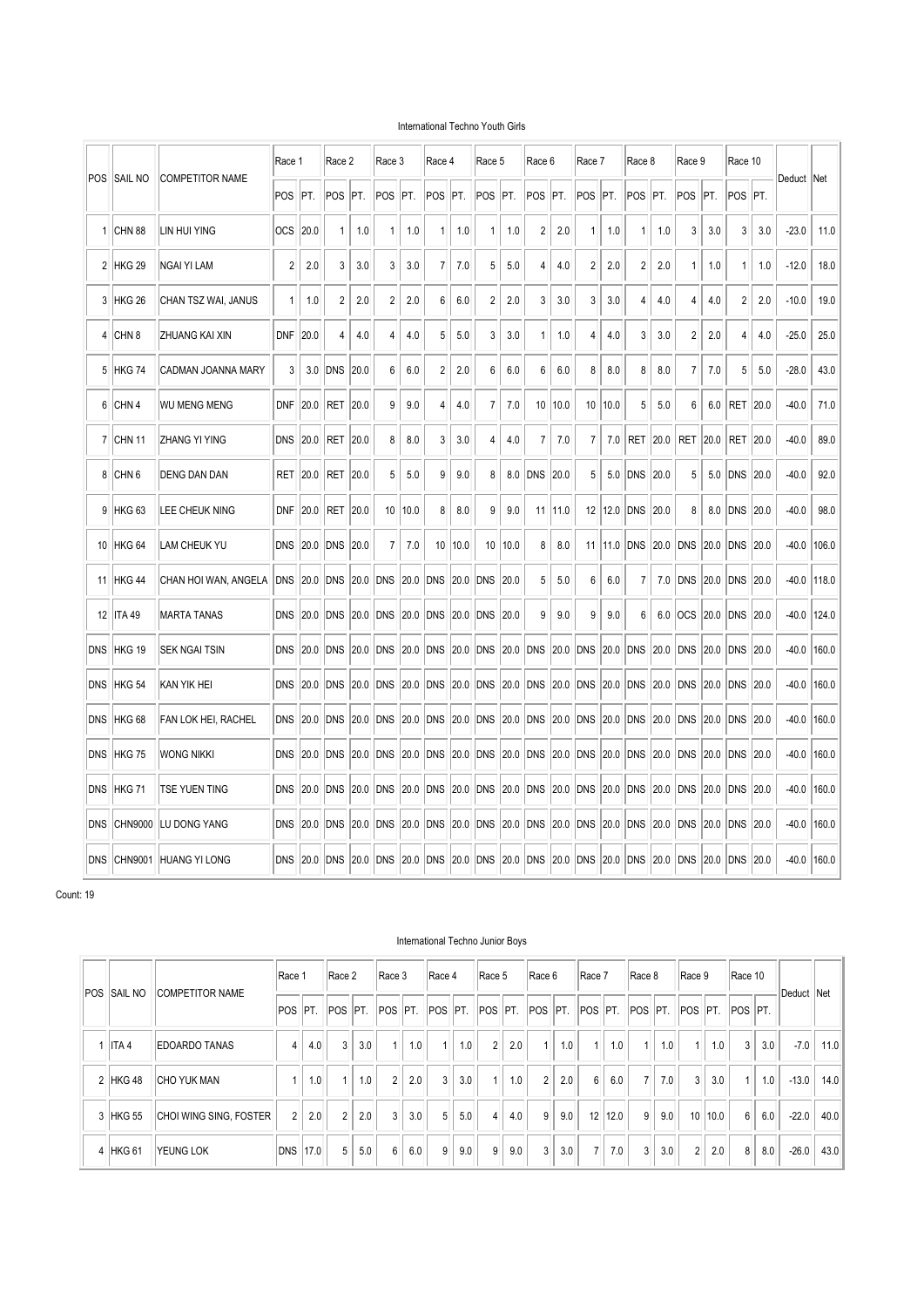#### International Techno Youth Girls

|                |                     |                        | Race 1     |          | Race 2      |       | Race 3         |      | Race 4         |      | Race 5         |      | Race 6      |      | Race 7          |                  | Race 8         |       | Race 9         |       | Race 10     |       |         |            |
|----------------|---------------------|------------------------|------------|----------|-------------|-------|----------------|------|----------------|------|----------------|------|-------------|------|-----------------|------------------|----------------|-------|----------------|-------|-------------|-------|---------|------------|
|                | <b>POS ISAIL NO</b> | <b>COMPETITOR NAME</b> | <b>POS</b> | IPT.     | POS         | PT.   | <b>POS</b>     | PT.  | POS            | IPT. | POS            | PT.  | POS         | PT.  | POS             | IPT.             | POS            | PT.   | <b>POS</b>     | PT.   | POS PT.     |       | Deduct  | <b>Net</b> |
| 1              | <b>CHN 88</b>       | LIN HUI YING           | <b>OCS</b> | 20.0     | 1           | 1.0   | 1              | 1.0  | 1              | 1.0  | 1              | 1.0  | 2           | 2.0  | 1               | 1.0              | 1              | 1.0   | 3              | 3.0   | 3           | 3.0   | $-23.0$ | 11.0       |
| $\overline{2}$ | HKG <sub>29</sub>   | NGAI YI LAM            | 2          | 2.0      | 3           | 3.0   | 3              | 3.0  | $\overline{7}$ | 7.0  | 5              | 5.0  | 4           | 4.0  | 2               | 2.0              | $\overline{c}$ | 2.0   | $\mathbf{1}$   | 1.0   | 1           | 1.0   | $-12.0$ | 18.0       |
| 3              | <b>HKG 26</b>       | CHAN TSZ WAI, JANUS    | 1          | 1.0      | 2           | 2.0   | 2              | 2.0  | 6              | 6.0  | 2              | 2.0  | 3           | 3.0  | 3               | 3.0              | 4              | 4.0   | 4              | 4.0   | 2           | 2.0   | $-10.0$ | 19.0       |
| 4              | CHN <sub>8</sub>    | IZHUANG KAI XIN        | <b>DNF</b> | 20.0     | 4           | 4.0   | 4              | 4.0  | 5              | 5.0  | 3              | 3.0  | 1           | 1.0  | 4               | 4.0              | 3              | 3.0   | $\overline{2}$ | 2.0   | 4           | 4.0   | $-25.0$ | 25.0       |
|                | 5 HKG 74            | CADMAN JOANNA MARY     | 3          | 3.0      | <b>DNS</b>  | 20.0  | 6              | 6.0  | $\overline{c}$ | 2.0  | 6              | 6.0  | 6           | 6.0  | 8               | 8.0              | 8              | 8.0   | 7              | 7.0   | 5           | 5.0   | $-28.0$ | 43.0       |
| 6              | CHN <sub>4</sub>    | <b>WU MENG MENG</b>    | DNF        | 20.0     | RET         | 20.0  | 9              | 9.0  | 4              | 4.0  | $\overline{7}$ | 7.0  | 10          | 10.0 | 10 <sup>°</sup> | 10.0             | 5              | 5.0   | 6              | 6.0   | <b>RET</b>  | 20.0  | $-40.0$ | 71.0       |
| $\mathbf{7}$   | <b>CHN 11</b>       | <b>ZHANG YI YING</b>   | <b>DNS</b> | 20.0     | RET         | 20.0  | 8              | 8.0  | 3              | 3.0  | 4              | 4.0  | 7           | 7.0  | 7               | 7.0              | RET            | 20.0  | RET            | 20.0  | <b>RET</b>  | 20.0  | $-40.0$ | 89.0       |
|                | 8 CHN 6             | <b>DENG DAN DAN</b>    | <b>RET</b> | 20.0     | RET         | 20.0  | 5              | 5.0  | 9              | 9.0  | 8              | 8.0  | <b>DNS</b>  | 20.0 | 5               | 5.0              | DNS            | 20.0  | 5              | 5.0   | <b>DNS</b>  | 20.0  | $-40.0$ | 92.0       |
| 9              | HKG <sub>63</sub>   | LEE CHEUK NING         | <b>DNF</b> | 20.0     | <b>RET</b>  | 20.0  | 10             | 10.0 | 8              | 8.0  | 9              | 9.0  | 11          | 11.0 |                 | 12 12.0          | <b>DNS</b>     | 20.0  | 8              | 8.0   | <b>DNS</b>  | 20.0  | $-40.0$ | 98.0       |
| 10             | HKG <sub>64</sub>   | LAM CHEUK YU           | <b>DNS</b> | 20.0     | <b>DNS</b>  | 20.0  | $\overline{7}$ | 7.0  | 10             | 10.0 | 10             | 10.0 | 8           | 8.0  | 11              | 11.0             | <b>DNS</b>     | 20.0  | DNS            | 20.0  | <b>DNS</b>  | 20.0  | $-40.0$ | 106.0      |
|                | 11 HKG 44           | CHAN HOI WAN, ANGELA   | <b>DNS</b> | 20.0     | <b>IDNS</b> | 20.0  | <b>IDNS</b>    | 20.0 | <b>DNS</b>     | 20.0 | <b>DNS</b>     | 20.0 | 5           | 5.0  | 6               | 6.0              | 7              | 7.0   | <b>DNS</b>     | 20.0  | <b>DNS</b>  | 20.0  | $-40.0$ | 118.0      |
| 12             | <b>ITA 49</b>       | <b>MARTA TANAS</b>     | <b>DNS</b> | 20.0     | DNS         | 20.0  | <b>DNS</b>     | 20.0 | DNS            | 20.0 | <b>DNS</b>     | 20.0 | 9           | 9.0  | 9               | 9.0              | 6              | 6.0   | <b>OCS</b>     | 20.0  | <b>DNS</b>  | 20.0  | -40.0   | 124.0      |
|                | DNS HKG 19          | SEK NGAI TSIN          | <b>DNS</b> | 20.0     | <b>IDNS</b> | 20.0  | <b>DNS</b>     | 20.0 | <b>DNS</b>     | 20.0 | <b>DNS</b>     | 20.0 | <b>DNS</b>  | 20.0 | <b>DNS</b>      | 20.0             | <b>DNS</b>     | 20.0  | <b>DNS</b>     | 20.0  | <b>DNS</b>  | 20.0  | $-40.0$ | 160.0      |
| <b>DNS</b>     | HKG 54              | KAN YIK HEI            | <b>DNS</b> | 20.0 DNS |             |       | $ 20.0 $ DNS   | 20.0 | DNS            |      | 20.0 DNS       | 20.0 | <b>DNS</b>  | 20.0 | DNS             | 20.0 DNS         |                | 20.0  | <b>DNS</b>     | 20.0  | DNS 20.0    |       | -40.0   | 160.0      |
|                | DNS HKG 68          | FAN LOK HEI, RACHEL    | DNS 20.0   |          | DNS         | 20.0  | <b>DNS</b>     | 20.0 | <b>DNS</b>     | 20.0 | <b>DNS</b>     | 20.0 | <b>DNS</b>  | 20.0 | DNS             | 20.0             | <b>DNS</b>     | 20.0  | <b>DNS</b>     | 20.0  | <b>DNS</b>  | 20.0  | $-40.0$ | 160.0      |
|                | DNS HKG 75          | <b>WONG NIKKI</b>      | <b>DNS</b> | 20.0     | DNS         | 20.0  | DNS            | 20.0 | DNS            | 20.0 | <b>DNS</b>     | 20.0 | DNS         | 20.0 | DNS             | 20.0             | <b>DNS</b>     | 20.0  | <b>DNS</b>     | 20.0  | <b>DNS</b>  | 20.0  | $-40.0$ | 160.0      |
| <b>DNS</b>     | HKG 71              | TSE YUEN TING          | <b>DNS</b> | 20.0     | <b>DNS</b>  | 20.0  | <b>DNS</b>     | 20.0 | <b>DNS</b>     | 20.0 | <b>DNS</b>     | 20.0 | <b>DNS</b>  | 20.0 | <b>DNS</b>      | 20.0             | <b>DNS</b>     | 20.0  | <b>DNS</b>     | 20.0  | <b>DNS</b>  | 20.0  | $-40.0$ | 160.0      |
| <b>DNS</b>     | CHN9000             | ILU DONG YANG          | <b>DNS</b> | 20.0     | <b>DNS</b>  | 120.0 | <b>IDNS</b>    | 20.0 | <b>DNS</b>     | 20.0 | <b>DNS</b>     | 20.0 | <b>DNS</b>  | 20.0 | <b>DNS</b>      | 20.0             | <b>DNS</b>     | 20.0  | <b>DNS</b>     | 20.0  | <b>DNS</b>  | 120.0 | $-40.0$ | 160.0      |
|                | DNS CHN9001         | HUANG YI LONG          | <b>DNS</b> | 20.0     | <b>IDNS</b> | 20.0  | <b>DNS</b>     | 20.0 | <b>IDNS</b>    | 20.0 | <b>DNS</b>     | 20.0 | <b>IDNS</b> | 20.0 | <b>IDNS</b>     | <b>20.0 IDNS</b> |                | 120.0 | <b>DNS</b>     | 120.0 | <b>IDNS</b> | 20.0  | $-40.0$ | 160.0      |

Count: 19

|                |                    |                        | Race 1          |     | Race 2         |     | Race 3         |     | Race 4 |     | Race 5         |     | Race 6                                                                          |     | Race 7               |      | Race 8         |     | Race 9         |      | Race 10 |     |            |      |
|----------------|--------------------|------------------------|-----------------|-----|----------------|-----|----------------|-----|--------|-----|----------------|-----|---------------------------------------------------------------------------------|-----|----------------------|------|----------------|-----|----------------|------|---------|-----|------------|------|
|                | <b>POS SAIL NO</b> | <b>COMPETITOR NAME</b> | POS PT.         |     |                |     |                |     |        |     |                |     | POS PT. POS PT. POS PT. POS PT. POS PT. POS PT. POS PT. POS PT. POS PT. POS PT. |     |                      |      |                |     |                |      |         |     | Deduct Net |      |
|                | IITA 4             | EDOARDO TANAS          | 4               | 4.0 | $\mathbf{3}$   | 3.0 |                | 1.0 |        | 1.0 | $\overline{2}$ | 2.0 |                                                                                 | 1.0 | $\blacktriangleleft$ | 1.0  | $\overline{ }$ | 1.0 | -1             | 1.0  | 3       | 3.0 | $-7.0$     | 11.0 |
| $\mathfrak{p}$ | HKG 48             | <b>CHO YUK MAN</b>     |                 | 1.0 |                | 1.0 | $\overline{2}$ | 2.0 | 3      | 3.0 |                | 1.0 | 2                                                                               | 2.0 | 6                    | 6.0  | $\overline{7}$ | 7.0 | 3              | 3.0  | 1       | 1.0 | $-13.0$    | 14.0 |
| 3              | <b>HKG 55</b>      | CHOI WING SING, FOSTER | $\overline{2}$  | 2.0 | $\overline{2}$ | 2.0 | 3              | 3.0 | 5      | 5.0 | $\overline{4}$ | 4.0 | 9                                                                               | 9.0 | 12                   | 12.0 | 9              | 9.0 | 10             | 10.0 | 6       | 6.0 | $-22.0$    | 40.0 |
| 4              | <b>HKG 61</b>      | <b>YEUNG LOK</b>       | <b>DNS 17.0</b> |     | 5              | 5.0 | 6              | 6.0 | 9      | 9.0 | 9              | 9.0 | 3                                                                               | 3.0 | $\overline{7}$       | 7.0  | 3              | 3.0 | $\overline{2}$ | 2.0  | 8       | 8.0 | $-26.0$    | 43.0 |

#### International Techno Junior Boys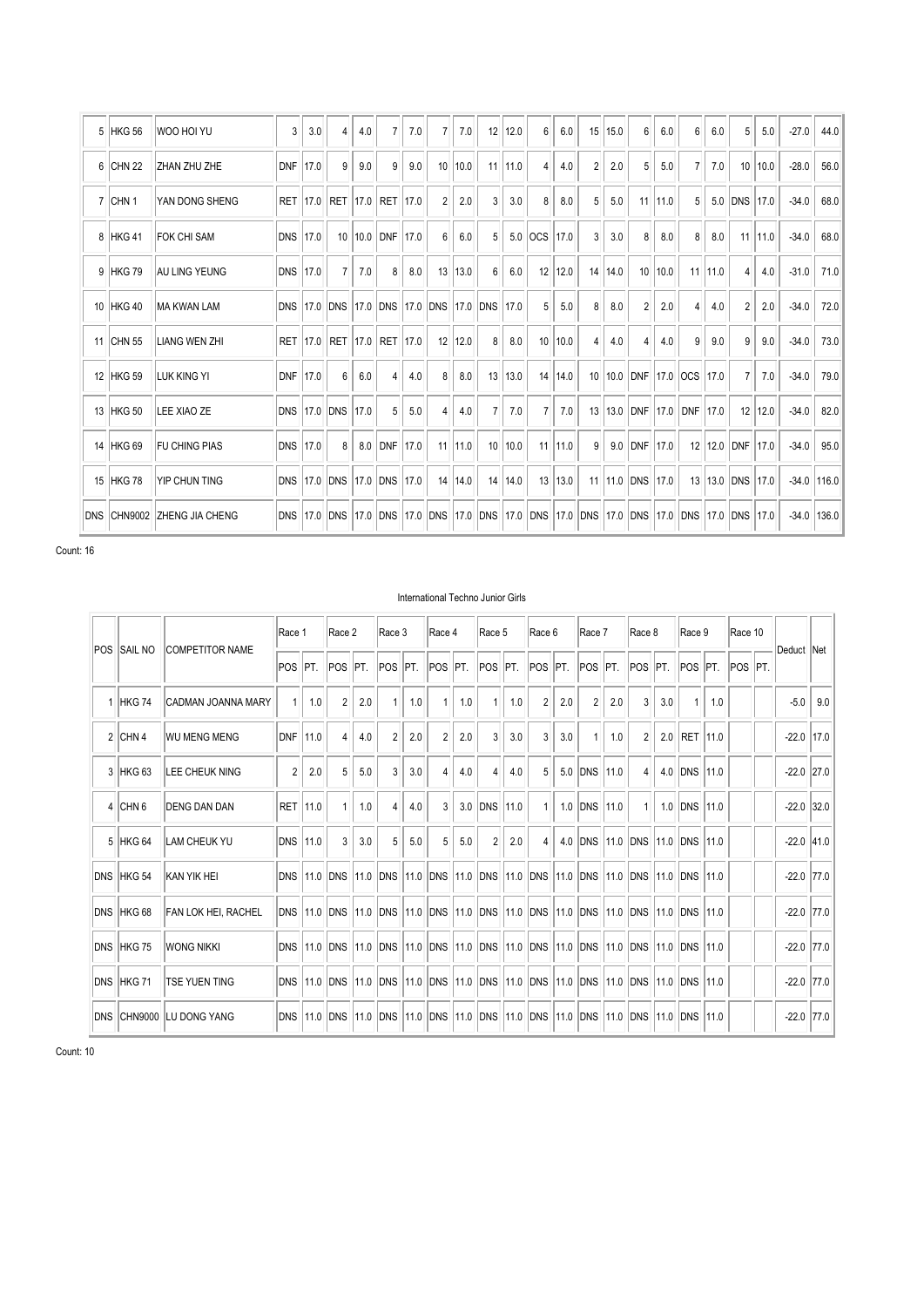|    | 5 HKG 56           | WOO HOI YU             | 3          | 3.0  | 4                     | 4.0  |            | 7.0  | 7              | 7.0  | 12                | 12.0 | 6       | 6.0  | 15                | 15.0 | 6              | 6.0  | 6              | 6.0  | 5              | 5.0         | $-27.0$ | 44.0  |
|----|--------------------|------------------------|------------|------|-----------------------|------|------------|------|----------------|------|-------------------|------|---------|------|-------------------|------|----------------|------|----------------|------|----------------|-------------|---------|-------|
| 6  | CHN <sub>22</sub>  | ZHAN ZHU ZHE           | <b>DNF</b> | 17.0 | 9                     | 9.0  | 9          | 9.0  | 10             | 10.0 | 11                | 11.0 | 4       | 4.0  | $\overline{2}$    | 2.0  | 5              | 5.0  | $\overline{7}$ | 7.0  | 10             | 10.0        | $-28.0$ | 56.0  |
|    | 7 CHN 1            | YAN DONG SHENG         | <b>RET</b> | 17.0 | RET                   | 17.0 | <b>RET</b> | 17.0 | $\overline{2}$ | 2.0  | 3                 | 3.0  | 8       | 8.0  | 5                 | 5.0  | 11             | 11.0 | 5              | 5.0  | DNS            | 17.0        | $-34.0$ | 68.0  |
|    | 8 HKG 41           | <b>FOK CHI SAM</b>     | <b>DNS</b> | 17.0 | 10 <sup>1</sup>       | 10.0 | <b>DNF</b> | 17.0 | 6              | 6.0  | 5                 |      | 5.0 OCS | 17.0 | 3                 | 3.0  | 8              | 8.0  | 8              | 8.0  | 11             | 11.0        | $-34.0$ | 68.0  |
|    | 9 HKG 79           | <b>AU LING YEUNG</b>   | <b>DNS</b> | 17.0 | $\overline{7}$        | 7.0  | 8          | 8.0  | 13             | 13.0 | 6                 | 6.0  | 12      | 12.0 | 14                | 14.0 | 10             | 10.0 | 11             | 11.0 | 4              | 4.0         | $-31.0$ | 71.0  |
|    | 10 HKG 40          | MA KWAN LAM            | <b>DNS</b> | 17.0 | <b>DNS</b>            | 17.0 | <b>DNS</b> |      | 17.0 DNS       |      | 17.0 DNS          | 17.0 | 5       | 5.0  | 8                 | 8.0  | 2              | 2.0  | 4              | 4.0  | $\overline{2}$ | 2.0         | $-34.0$ | 72.0  |
| 11 | ICHN <sub>55</sub> | <b>LIANG WEN ZHI</b>   | <b>RET</b> | 17.0 | RET                   | 17.0 | <b>RET</b> | 17.0 | 12             | 12.0 | 8                 | 8.0  | 10      | 10.0 | $\overline{4}$    | 4.0  | $\overline{4}$ | 4.0  | 9              | 9.0  | 9              | 9.0         | $-34.0$ | 73.0  |
|    | 12 HKG 59          | <b>LUK KING YI</b>     | DNF        | 17.0 | 6                     | 6.0  | 4          | 4.0  | 8              | 8.0  | 13                | 13.0 | 14      | 14.0 |                   |      | 10 10.0 DNF    | 17.0 | <b>OCS</b>     | 17.0 | $\overline{7}$ | 7.0         | $-34.0$ | 79.0  |
|    | 13 HKG 50          | LEE XIAO ZE            | <b>DNS</b> | 17.0 | DNS                   | 17.0 | 5          | 5.0  | 4              | 4.0  | 7                 | 7.0  | 7       | 7.0  | 13                | 13.0 | DNF            | 17.0 | <b>DNF</b>     | 17.0 |                | $12$   12.0 | $-34.0$ | 82.0  |
| 14 | HKG <sub>69</sub>  | <b>FU CHING PIAS</b>   | <b>DNS</b> | 17.0 | 8                     | 8.0  | <b>DNF</b> | 17.0 | 11             | 11.0 | 10                | 10.0 | 11      | 11.0 | 9                 | 9.0  | DNF            | 17.0 | 12             | 12.0 | DNF            | 17.0        | $-34.0$ | 95.0  |
| 15 | HKG 78             | YIP CHUN TING          | <b>DNS</b> | 17.0 | DNS                   | 17.0 | <b>DNS</b> | 17.0 | 14             | 14.0 | 14                | 14.0 | 13      | 13.0 | 11                |      | $11.0$ DNS     | 17.0 | 13             | 13.0 | DNS 17.0       |             | $-34.0$ | 116.0 |
|    | DNS CHN9002        | <b>ZHENG JIA CHENG</b> |            |      | DNS 17.0 DNS 17.0 DNS |      |            |      | 17.0 DNS       |      | 17.0 DNS 17.0 DNS |      |         |      | 17.0 DNS 17.0 DNS |      |                |      | $17.0$ DNS     |      | 17.0 DNS 17.0  |             | $-34.0$ | 136.0 |

#### International Techno Junior Girls

|                |                    |                        | Race 1         |      | Race 2       |      | Race 3         |      | Race 4          |      | Race 5         |      | Race 6         |      | Race 7          |      | Race 8                     |       | Race 9          |      | Race 10 |            |      |
|----------------|--------------------|------------------------|----------------|------|--------------|------|----------------|------|-----------------|------|----------------|------|----------------|------|-----------------|------|----------------------------|-------|-----------------|------|---------|------------|------|
|                | <b>POS SAIL NO</b> | <b>COMPETITOR NAME</b> | <b>POS</b>     | IPT. | <b>POS</b>   | PT.  | <b>POS</b>     | IPT. | POS             | PT.  | <b>POS</b>     | PT.  | <b>POS</b>     | IPT. | POS             | PT.  | POS                        | PT.   | POS PT.         |      | POS PT. | Deduct Net |      |
| $\mathbf{1}$   | HKG 74             | CADMAN JOANNA MARY     |                | 1.0  | 2            | 2.0  |                | 1.0  |                 | 1.0  |                | 1.0  | $\overline{2}$ | 2.0  | $\overline{2}$  | 2.0  | 3                          | 3.0   | 1               | 1.0  |         | $-5.0$     | 9.0  |
| $\overline{2}$ | CHN <sub>4</sub>   | <b>WU MENG MENG</b>    | <b>DNF</b>     | 11.0 | 4            | 4.0  | $\overline{2}$ | 2.0  | $\overline{c}$  | 2.0  | 3              | 3.0  | 3              | 3.0  |                 | 1.0  | $\overline{2}$             | 2.0   | RET 11.0        |      |         | $-22.0$    | 17.0 |
| 3              | HKG <sub>63</sub>  | LEE CHEUK NING         | $\overline{c}$ | 2.0  | 5            | 5.0  | 3              | 3.0  | 4               | 4.0  | 4              | 4.0  | 5              |      | 5.0 DNS         | 11.0 | 4                          | 4.0   | <b>DNS 11.0</b> |      |         | $-22.0$    | 27.0 |
| $\overline{4}$ | CHN <sub>6</sub>   | <b>DENG DAN DAN</b>    | <b>RET</b>     | 11.0 |              | 1.0  | 4              | 4.0  | 3               | 3.0  | DNS            | 11.0 |                |      | $1.0$ DNS       | 11.0 | $\mathbf{1}$               | 1.0   | <b>DNS 11.0</b> |      |         | $-22.0$    | 32.0 |
| 5              | HKG <sub>64</sub>  | <b>LAM CHEUK YU</b>    | <b>DNS</b>     | 11.0 | 3            | 3.0  | 5              | 5.0  | 5               | 5.0  | $\overline{2}$ | 2.0  | $\overline{4}$ | 4.0  | <b>DNS</b>      | 11.0 | <b>DNS</b>                 | 11.0  | <b>DNS 11.0</b> |      |         | $-22.0$    | 41.0 |
|                | DNS HKG 54         | KAN YIK HEI            | <b>DNS</b>     | 11.0 | <b>DNS</b>   | 11.0 | <b>DNS</b>     | 11.0 | <b>DNS</b>      | 11.0 | DNS            | 11.0 | <b>DNS</b>     | 11.0 | <b>DNS</b>      | 11.0 | DNS 11.0                   |       | <b>DNS 11.0</b> |      |         | $-22.0$    | 77.0 |
|                | DNS HKG 68         | FAN LOK HEI, RACHEL    | <b>DNS</b>     | 11.0 | <b>DNS</b>   | 11.0 | <b>DNS</b>     | 11.0 | <b>DNS</b>      | 11.0 | <b>DNS</b>     | 11.0 | DNS            |      | <b>11.0 DNS</b> | 11.0 | DNS 11.0                   |       | <b>DNS 11.0</b> |      |         | $-22.0$    | 77.0 |
|                | DNS HKG 75         | <b>WONG NIKKI</b>      |                |      | DNS 11.0 DNS |      | 11.0 DNS       |      | 11.0 DNS 11.0   |      | DNS            | 11.0 |                |      |                 |      | DNS 11.0 DNS 11.0 DNS 11.0 |       | <b>DNS 11.0</b> |      |         | $-22.0$    | 77.0 |
|                | DNS HKG 71         | <b>TSE YUEN TING</b>   | <b>DNS</b>     |      | 11.0 DNS     |      | 11.0 DNS       | 11.0 | <b>DNS 11.0</b> |      | <b>DNS</b>     | 11.0 | <b>DNS</b>     |      | $11.0$ DNS      |      | $11.0$ DNS                 | 11.0  | <b>DNS 11.0</b> |      |         | $-22.0$    | 77.0 |
| <b>DNS</b>     | <b>CHN9000</b>     | <b>ILU DONG YANG</b>   | <b>DNS</b>     | 11.0 | <b>DNS</b>   | 11.0 | <b>DNS</b>     | 11.0 | <b>DNS</b>      | 11.0 | DNS            | 11.0 | DNS            | 11.0 | DNS             | 11.0 | <b>DNS</b>                 | 111.0 | DNS             | 11.0 |         | $-22.0$    | 77.0 |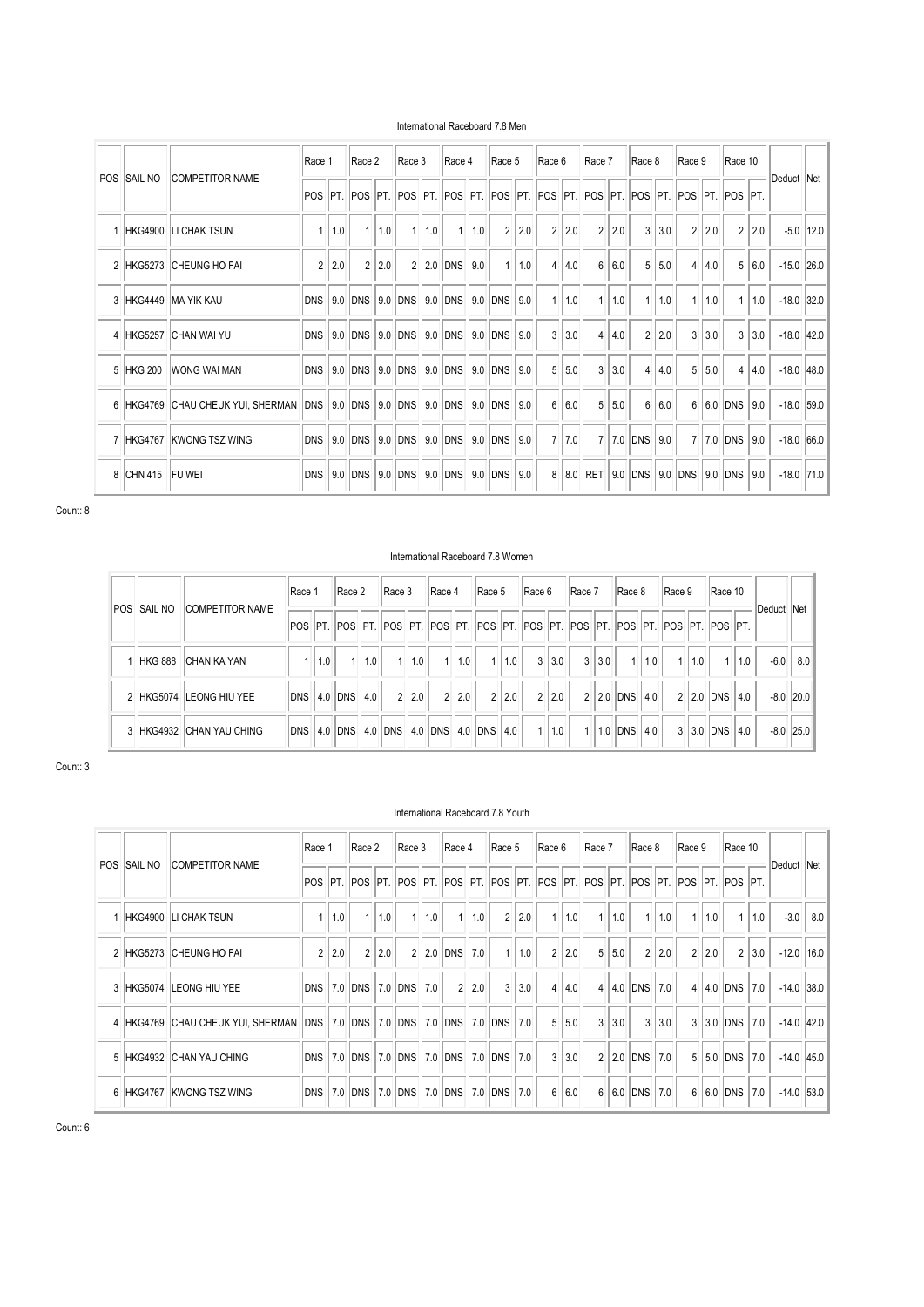| International Raceboard 7.8 Men |  |  |  |
|---------------------------------|--|--|--|
|---------------------------------|--|--|--|

|                |                    |                                       | Race 1         |     | Race 2              |     | Race 3              |     | Race 4                                 |     | Race 5         |     | Race 6         |     | Race 7         |     | Race 8         |     | Race 9         |     | Race 10                     |     |              |      |
|----------------|--------------------|---------------------------------------|----------------|-----|---------------------|-----|---------------------|-----|----------------------------------------|-----|----------------|-----|----------------|-----|----------------|-----|----------------|-----|----------------|-----|-----------------------------|-----|--------------|------|
|                | <b>POS SAIL NO</b> | <b>COMPETITOR NAME</b>                |                |     |                     |     | POS PT. POS PT. POS |     | PT.  POS  PT.  POS  PT.  POS  PT.  POS |     |                |     |                |     |                |     |                |     |                |     | PT. POS PT. POS PT. POS PT. |     | Deduct Net   |      |
|                |                    | HKG4900 LI CHAK TSUN                  |                | 1.0 |                     | 1.0 | 1                   | 1.0 |                                        | 1.0 | $\overline{2}$ | 2.0 | $\overline{2}$ | 2.0 | $\overline{2}$ | 2.0 | $\mathbf{3}$   | 3.0 | $\overline{2}$ | 2.0 | $\overline{2}$              | 2.0 | $-5.0$       | 12.0 |
| $\overline{2}$ | HKG5273            | <b>CHEUNG HO FAI</b>                  | $\overline{2}$ | 2.0 | $\overline{2}$      | 2.0 | $\overline{2}$      |     | $2.0$ DNS                              | 9.0 | $\mathbf{1}$   | 1.0 | $\overline{4}$ | 4.0 | 6              | 6.0 | 5              | 5.0 | 4              | 4.0 | 5                           | 6.0 | $-15.0$ 26.0 |      |
| 3              | <b>HKG4449</b>     | <b>MA YIK KAU</b>                     |                |     | DNS 9.0 DNS         | 9.0 | <b>DNS</b>          |     | 9.0 DNS 9.0 DNS                        |     |                | 9.0 | $-1$           | 1.0 | $\mathbf{1}$   | 1.0 | $-1$           | 1.0 |                | 1.0 |                             | 1.0 | $-18.0$      | 32.0 |
|                | 4 HKG5257          | <b>CHAN WAI YU</b>                    | <b>DNS</b>     |     | $9.0$ DNS           | 9.0 | <b>DNS</b>          |     | 9.0 DNS                                | 9.0 | DNS            | 9.0 | 3              | 3.0 | 4              | 4.0 | $\overline{2}$ | 2.0 | 3              | 3.0 | 3                           | 3.0 | $-18.0$ 42.0 |      |
|                | 5 HKG 200          | <b>WONG WAI MAN</b>                   |                |     | DNS 9.0 DNS 9.0 DNS |     |                     |     | 9.0 DNS 9.0 DNS                        |     |                | 9.0 | 5              | 5.0 | 3              | 3.0 | $\overline{4}$ | 4.0 | 5              | 5.0 | $\overline{4}$              | 4.0 | $-18.0$ 48.0 |      |
|                | 6 HKG4769          | CHAU CHEUK YUI, SHERMAN DNS   9.0 DNS |                |     |                     | 9.0 | DNS                 |     | 9.0 DNS 9.0 DNS                        |     |                | 9.0 | $6\phantom{1}$ | 6.0 | 5              | 5.0 | 6              | 6.0 | 6              |     | 6.0 DNS                     | 9.0 | $-18.0$ 59.0 |      |
|                | 7 HKG4767          | <b>KWONG TSZ WING</b>                 |                |     | DNS 9.0 DNS 9.0 DNS |     |                     |     | 9.0 DNS 9.0 DNS                        |     |                | 9.0 | $\overline{7}$ | 7.0 | $\overline{7}$ |     | 7.0 DNS 9.0    |     | $\overline{7}$ |     | 7.0 DNS 9.0                 |     | $-18.0$ 66.0 |      |
|                | 8 CHN 415          | <b>FU WEI</b>                         | <b>DNS</b>     | 9.0 | DNS                 | 9.0 | <b>DNS</b>          |     | 9.0 DNS                                | 9.0 | DNS            | 9.0 | 8              | 8.0 | RET            | 9.0 | DNS 9.0        |     | DNS            | 9.0 | DNS                         | 9.0 | $-18.0$      | 71.0 |

#### International Raceboard 7.8 Women

| POS SAIL NO    | <b>COMPETITOR NAME</b>   | Race 1      |     | Race 2      |     | Race 3 |       | Race 4                      |     | Race 5       |     | Race 6         |     | Race 7                                                                                  |       | Race 8       |     | Race 9         |     | Race 10     |     | Deduct Net |             |
|----------------|--------------------------|-------------|-----|-------------|-----|--------|-------|-----------------------------|-----|--------------|-----|----------------|-----|-----------------------------------------------------------------------------------------|-------|--------------|-----|----------------|-----|-------------|-----|------------|-------------|
|                |                          |             |     |             |     |        |       |                             |     |              |     |                |     | POS PT. POS PT. POS PT. POS PT. POS PT. POS PT. POS PT. POS PT. POS PT. POS PT. POS PT. |       |              |     |                |     |             |     |            |             |
| <b>HKG 888</b> | <b>ICHAN KA YAN</b>      |             | 1.0 |             | 1.0 |        | 1 1.0 | $\overline{1}$              | 1.0 | $\mathbf{1}$ | 1.0 | $\mathbf{3}$   | 3.0 |                                                                                         | 3 3.0 | $\mathbf{1}$ | 1.0 | $\overline{1}$ | 1.0 |             | 1.0 | $-6.0$     | 8.0         |
|                | 2 HKG5074 LEONG HIU YEE  | DNS 4.0 DNS |     |             | 4.0 |        | 2 2.0 | $\mathcal{P}$               | 2.0 | 2            | 2.0 | $\overline{2}$ | 2.0 |                                                                                         | 2 2.0 | <b>DNS</b>   | 4.0 |                |     | $2$ 2.0 DNS | 4.0 |            | $-8.0$ 20.0 |
|                | 3 HKG4932 CHAN YAU CHING | <b>DNS</b>  |     | $ 4.0 $ DNS |     |        |       | 4.0 DNS 4.0 DNS 4.0 DNS 4.0 |     |              |     | $\overline{1}$ | 1.0 | $\mathbf{1}$                                                                            | 1.0   | <b>DNS</b>   | 4.0 |                |     | $3$ 3.0 DNS | 4.0 |            | $-8.0$ 25.0 |

Count: 3

# International Raceboard 7.8 Youth

|                  |                |                                   | Race 1         |     | Race 2         |     | Race 3                                                                                  |     | Race 4         |     | Race 5         |     | Race 6         |     | Race 7 |     | Race 8         |     | Race 9         |     | Race 10        |     |              |            |
|------------------|----------------|-----------------------------------|----------------|-----|----------------|-----|-----------------------------------------------------------------------------------------|-----|----------------|-----|----------------|-----|----------------|-----|--------|-----|----------------|-----|----------------|-----|----------------|-----|--------------|------------|
|                  | POS ISAIL NO   | <b>COMPETITOR NAME</b>            |                |     |                |     | POS PT. POS PT. POS PT. POS PT. POS PT. POS PT. POS PT. POS PT. POS PT. POS PT. POS PT. |     |                |     |                |     |                |     |        |     |                |     |                |     |                |     | Deduct       | <b>Net</b> |
|                  |                | HKG4900 LI CHAK TSUN              |                | 1.0 |                | 1.0 | $\mathbf{1}$                                                                            | 1.0 | 1              | 1.0 | $\overline{2}$ | 2.0 | $\mathbf{1}$   | 1.0 | 1      | 1.0 | $\mathbf{1}$   | 1.0 |                | 1.0 |                | 1.0 | $-3.0$       | 8.0        |
| $\overline{2}$   |                | HKG5273 CHEUNG HO FAI             | $\overline{2}$ | 2.0 | $\overline{2}$ | 2.0 | $\overline{2}$                                                                          |     | 2.0 DNS        | 7.0 | $\mathbf{1}$   | 1.0 | $\overline{2}$ | 2.0 | 5      | 5.0 | $\overline{2}$ | 2.0 | $\overline{2}$ | 2.0 | $\overline{2}$ | 3.0 | $-12.0$      | 16.0       |
| 3                |                | HKG5074 LEONG HIU YEE             |                |     | DNS 7.0 DNS    |     | 7.0 DNS                                                                                 | 7.0 | $\overline{2}$ | 2.0 | 3 <sup>1</sup> | 3.0 | 4              | 4.0 |        |     | $4$ 4.0 DNS    | 7.0 |                |     | 4   4.0   DNS  | 7.0 | $-14.0$ 38.0 |            |
|                  |                | 4 HKG4769 CHAU CHEUK YUI, SHERMAN |                |     |                |     | DNS 7.0 DNS 7.0 DNS 7.0 DNS 7.0 DNS 7.0 DNS 7.0                                         |     |                |     |                |     | 5              | 5.0 | 3      | 3.0 | $\mathbf{3}$   | 3.0 |                |     | 3 3.0 DNS 7.0  |     | $-14.0$ 42.0 |            |
| 5                |                | HKG4932 CHAN YAU CHING            |                |     | DNS 7.0 DNS    |     | 7.0 DNS 7.0 DNS 7.0 DNS 7.0                                                             |     |                |     |                |     | 3              | 3.0 |        |     | 2 2.0 DNS 7.0  |     | 5              |     | 5.0 DNS        | 7.0 | $-14.0$ 45.0 |            |
| $6 \overline{6}$ | <b>HKG4767</b> | <b>IKWONG TSZ WING</b>            |                |     | DNS 7.0 DNS    |     | 7.0 DNS 7.0 DNS 7.0 DNS 7.0                                                             |     |                |     |                |     | 6              | 6.0 | 6      |     | $6.0$ DNS      | 7.0 | 6              |     | 6.0 DNS        | 7.0 | $-14.0$ 53.0 |            |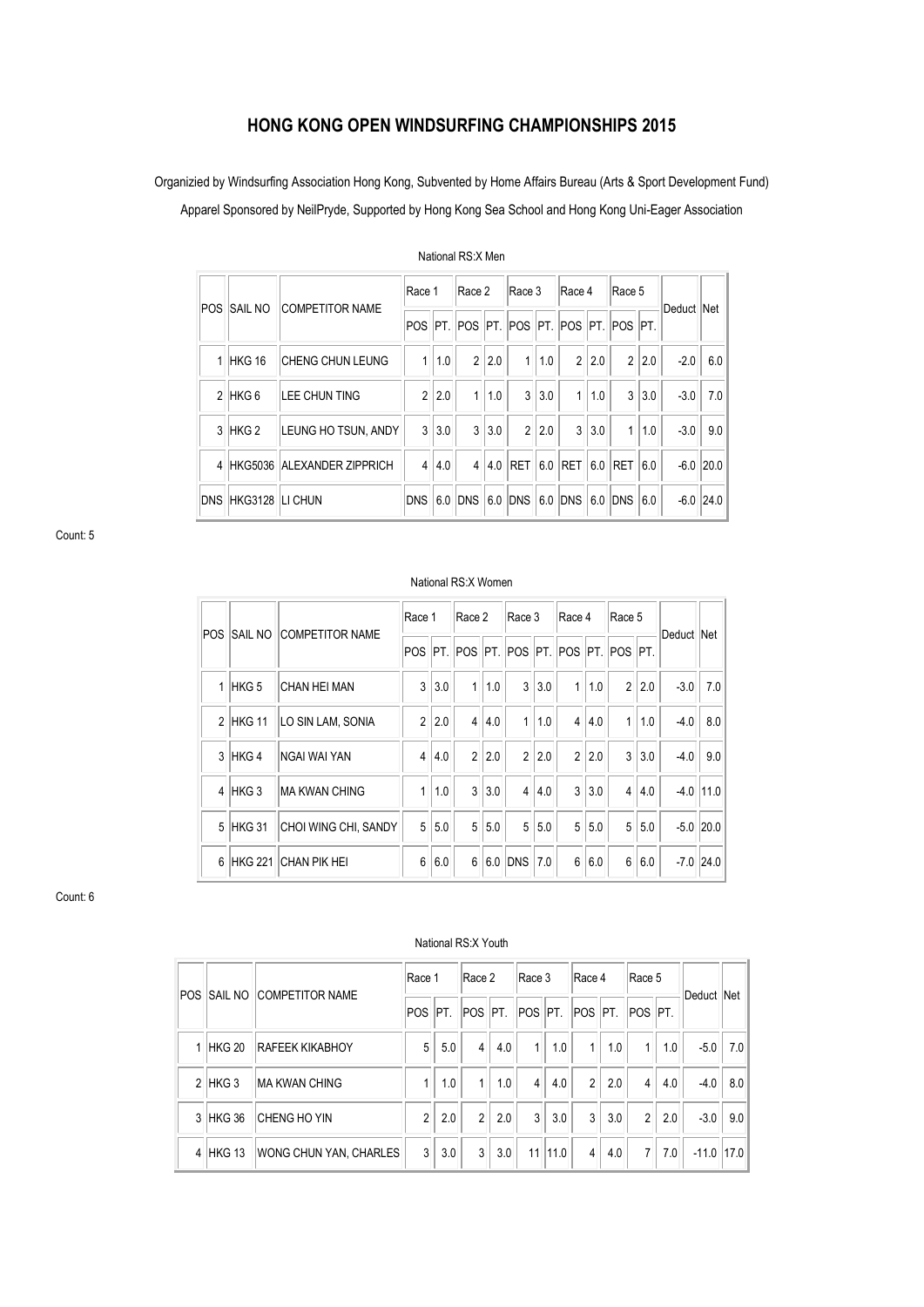# **HONG KONG OPEN WINDSURFING CHAMPIONSHIPS 2015**

Organizied by Windsurfing Association Hong Kong, Subvented by Home Affairs Bureau (Arts & Sport Development Fund)

Apparel Sponsored by NeilPryde, Supported by Hong Kong Sea School and Hong Kong Uni-Eager Association

| POS I | Isail no           | <b>COMPETITOR NAME</b>     | Race 1         |       | Race 2         |     | Race 3       |       | Race 4         |     | Race 5                                                    |       | Deduct Net |             |
|-------|--------------------|----------------------------|----------------|-------|----------------|-----|--------------|-------|----------------|-----|-----------------------------------------------------------|-------|------------|-------------|
|       |                    |                            |                |       |                |     |              |       |                |     | POS   PT.   POS   PT.   POS   PT.   POS   PT.   POS   PT. |       |            |             |
|       | 1 HKG 16           | CHENG CHUN LEUNG           | 1 <sup>1</sup> | 1.0   | $\overline{2}$ | 2.0 | $\mathbf{1}$ | 1.0   | $\overline{2}$ | 2.0 |                                                           | 2 2.0 | $-2.0$     | 6.0         |
|       | $2$ HKG 6          | LEE CHUN TING              |                | 2 2.0 | $\mathbf{1}$   | 1.0 | $\mathbf{3}$ | 3.0   | $\mathbf{1}$   | 1.0 |                                                           | 3 3.0 | $-3.0$     | 7.0         |
|       | 3 HKG 2            | LEUNG HO TSUN, ANDY        |                | 3 3.0 | 3              | 3.0 |              | 2 2.0 | 3              | 3.0 | 1 <sup>1</sup>                                            | 1.0   | $-3.0$     | 9.0         |
| 4     |                    | HKG5036 ALEXANDER ZIPPRICH | 4              | 4.0   | $\overline{4}$ |     | $4.0$ RET    | 6.0   | <b>RET</b>     |     | 6.0 RET 6.0                                               |       |            | $-6.0$ 20.0 |
|       | DNS HKG3128 LICHUN |                            | DNS 6.0        |       | <b>DNS</b>     | 6.0 | $DNS$ $6.0$  |       | <b>DNS</b>     | 6.0 | DNS 6.0                                                   |       |            | $-6.0$ 24.0 |

National RS:X Men

Count: 5

# National RS:X Women

|       |           |                                | Race 1           |       | Race 2         |     | Race 3                                    |     | Race 4         |       | Race 5         |     |            |               |
|-------|-----------|--------------------------------|------------------|-------|----------------|-----|-------------------------------------------|-----|----------------|-------|----------------|-----|------------|---------------|
| IPOS. |           | <b>SAIL NO COMPETITOR NAME</b> |                  |       |                |     | POS PT POS PT POS PT POS PT POS PT POS PT |     |                |       |                |     | Deduct Net |               |
|       | $1$ HKG 5 | ICHAN HEI MAN                  | 3 <sup>1</sup>   | 3.0   | $\mathbf{1}$   | 1.0 | 3                                         | 3.0 | 1 <sup>1</sup> | 1.0   | $\overline{2}$ | 2.0 | $-3.0$     | 7.0           |
|       | 2 HKG 11  | LO SIN LAM, SONIA              |                  | 2 2.0 | $\overline{4}$ | 4.0 | $\mathbf{1}$                              | 1.0 |                | 4 4.0 | $\mathbf{1}$   | 1.0 | $-4.0$     | 8.0           |
|       | 3 HKG 4   | INGAI WAI YAN                  | $\overline{4}$   | 4.0   | $\overline{2}$ | 2.0 | $\overline{2}$                            | 2.0 |                | 2 2.0 | 3              | 3.0 | $-4.0$     | 9.0           |
|       | $4$ HKG 3 | <b>MA KWAN CHING</b>           |                  | 1.0   | 3              | 3.0 | $\overline{4}$                            | 4.0 | $\overline{3}$ | 3.0   | $\overline{4}$ | 4.0 |            | $-4.0$   11.0 |
|       | 5 HKG 31  | CHOI WING CHI, SANDY           | 5 <sup>1</sup>   | 5.0   | 5              | 5.0 | 5 <sup>5</sup>                            | 5.0 |                | 5 5.0 | 5              | 5.0 |            | $-5.0$   20.0 |
|       |           | 6 HKG 221 CHAN PIK HEI         | $6 \overline{6}$ | 6.0   | 6              |     | 6.0 DNS                                   | 7.0 |                | 6 6.0 | $6\phantom{.}$ | 6.0 |            | $-7.0$ 24.0   |

Count: 6

|            |           | <b>SAIL NO COMPETITOR NAME</b> | Race 1         |     | Race 2          |     | Race 3                         |            | Race 4       |     | Race 5         |     |              |     |
|------------|-----------|--------------------------------|----------------|-----|-----------------|-----|--------------------------------|------------|--------------|-----|----------------|-----|--------------|-----|
| <b>POS</b> |           |                                |                |     | POS PT. POS PT. |     | <b>POS PT. POS PT. POS PT.</b> |            |              |     |                |     | Deduct Net   |     |
|            | 1 HKG 20  | <b>RAFEEK KIKABHOY</b>         | 5              | 5.0 | $\overline{4}$  | 4.0 | 1 <sup>1</sup>                 | 1.0        | 1            | 1.0 | 1              | 1.0 | $-5.0$       | 7.0 |
|            | $2$ HKG 3 | <b>MA KWAN CHING</b>           |                | 1.0 | $\mathbf{1}$    | 1.0 | $\overline{4}$                 | 4.0        | 2            | 2.0 | $\overline{4}$ | 4.0 | $-4.0$       | 8.0 |
|            | 3 HKG 36  | <b>CHENG HO YIN</b>            | $\mathfrak{p}$ | 2.0 | $\mathfrak{p}$  | 2.0 | $\mathbf{3}$                   | 3.0        | $\mathbf{3}$ | 3.0 | 2 <sub>1</sub> | 2.0 | $-3.0$       | 9.0 |
|            | 4 HKG 13  | WONG CHUN YAN, CHARLES         | 3 <sup>1</sup> | 3.0 | 3 <sup>1</sup>  | 3.0 |                                | $11$  11.0 | $\vert$      | 4.0 | 7 <sup>1</sup> | 7.0 | $-11.0$ 17.0 |     |

# National RS:X Youth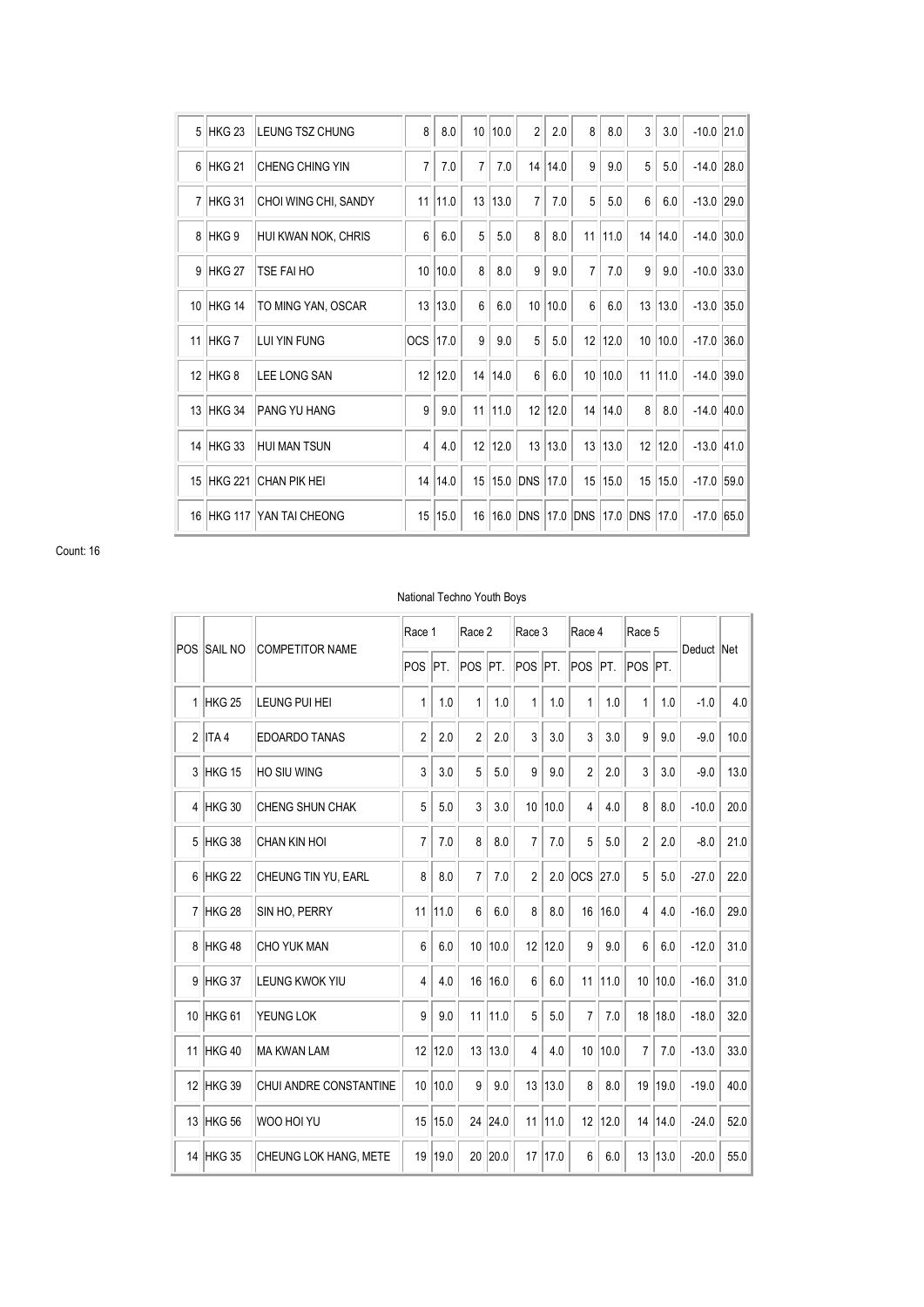| 5               | <b>HKG 23</b>     | LEUNG TSZ CHUNG             | 8               | 8.0     | 10 <sup>1</sup> | 10.0 | $\overline{2}$ | 2.0  | 8              | 8.0  | 3        | 3.0     | $-10.0$ 21.0 |      |
|-----------------|-------------------|-----------------------------|-----------------|---------|-----------------|------|----------------|------|----------------|------|----------|---------|--------------|------|
| 6               | HKG <sub>21</sub> | <b>CHENG CHING YIN</b>      | $\overline{7}$  | 7.0     | 7               | 7.0  | 14             | 14.0 | 9              | 9.0  | 5        | 5.0     | $-14.0$      | 28.0 |
| $\overline{7}$  | HKG 31            | CHOI WING CHI, SANDY        | 11              | 11.0    | 13              | 13.0 | $\overline{7}$ | 7.0  | 5              | 5.0  | 6        | 6.0     | $-13.0$      | 29.0 |
| 8               | HKG 9             | HUI KWAN NOK, CHRIS         | $6\phantom{.}$  | 6.0     | 5               | 5.0  | 8              | 8.0  | 11             | 11.0 | 14       | 14.0    | $-14.0$      | 30.0 |
| 9               | HKG <sub>27</sub> | TSE FAI HO                  | 10 <sup>1</sup> | 10.0    | 8               | 8.0  | 9              | 9.0  | $\overline{7}$ | 7.0  | 9        | 9.0     | $-10.0$      | 33.0 |
| 10 <sup>1</sup> | HKG 14            | TO MING YAN, OSCAR          |                 | 13 13.0 | 6               | 6.0  | 10             | 10.0 | 6              | 6.0  |          | 13 13.0 | $-13.0$      | 35.0 |
| 11              | <b>HKG7</b>       | LUI YIN FUNG                | OCS 17.0        |         | 9               | 9.0  | 5              | 5.0  | 12             | 12.0 |          | 10 10.0 | $-17.0$      | 36.0 |
| 12 <sup>°</sup> | HKG <sub>8</sub>  | <b>LEE LONG SAN</b>         | 12              | 12.0    | 14              | 14.0 | $6\phantom{.}$ | 6.0  | 10             | 10.0 | 11       | 11.0    | $-14.0$      | 39.0 |
| 13              | HKG 34            | <b>PANG YU HANG</b>         | $\overline{9}$  | 9.0     | 11              | 11.0 | 12             | 12.0 | 14             | 14.0 | 8        | 8.0     | $-14.0$ 40.0 |      |
| 14              | <b>HKG 33</b>     | <b>HUI MAN TSUN</b>         | $\overline{4}$  | 4.0     | 12              | 12.0 | 13             | 13.0 | 13             | 13.0 | 12       | 12.0    | $-13.0$      | 41.0 |
| 15              |                   | <b>HKG 221 CHAN PIK HEI</b> | 14              | 14.0    | 15              | 15.0 | <b>DNS</b>     | 17.0 | 15             | 15.0 | 15       | 15.0    | $-17.0$      | 59.0 |
| 16              | <b>HKG 117</b>    | <b>YAN TAI CHEONG</b>       | 15              | 15.0    | 16              | 16.0 | <b>DNS</b>     | 17.0 | <b>DNS</b>     |      | 17.0 DNS | 17.0    | $-17.0$      | 65.0 |

# National Techno Youth Boys

| POS | <b>SAIL NO</b>    |                        | Race 1         |      | Race 2         |      | Race 3               |      | Race 4         |      | Race 5          |      |            |      |
|-----|-------------------|------------------------|----------------|------|----------------|------|----------------------|------|----------------|------|-----------------|------|------------|------|
|     |                   | <b>COMPETITOR NAME</b> | POS            | PT.  | <b>POS</b>     | PT.  | POS <sup>IPT</sup> . |      | <b>POS</b>     | PT.  | POS PT.         |      | Deduct Net |      |
|     | 1 HKG 25          | LEUNG PUI HEI          | 1              | 1.0  | 1              | 1.0  | 1                    | 1.0  | 1              | 1.0  | 1               | 1.0  | $-1.0$     | 4.0  |
|     | $2$ ITA 4         | <b>EDOARDO TANAS</b>   | $\overline{2}$ | 2.0  | $\overline{2}$ | 2.0  | 3                    | 3.0  | 3              | 3.0  | 9               | 9.0  | $-9.0$     | 10.0 |
| 3   | HKG 15            | HO SIU WING            | 3              | 3.0  | 5              | 5.0  | 9                    | 9.0  | $\overline{2}$ | 2.0  | 3               | 3.0  | $-9.0$     | 13.0 |
|     | 4 HKG 30          | <b>CHENG SHUN CHAK</b> | 5              | 5.0  | 3              | 3.0  | 10 <sup>1</sup>      | 10.0 | $\overline{4}$ | 4.0  | 8               | 8.0  | $-10.0$    | 20.0 |
| 5   | HKG 38            | <b>CHAN KIN HOI</b>    | $\overline{7}$ | 7.0  | 8              | 8.0  | $\overline{7}$       | 7.0  | 5              | 5.0  | $\overline{2}$  | 2.0  | $-8.0$     | 21.0 |
| 6   | <b>HKG 22</b>     | CHEUNG TIN YU, EARL    | 8              | 8.0  | 7              | 7.0  | $\overline{2}$       | 2.0  | locs           | 27.0 | 5               | 5.0  | $-27.0$    | 22.0 |
|     | 7 HKG 28          | SIN HO, PERRY          | 11             | 11.0 | 6              | 6.0  | 8                    | 8.0  | 16             | 16.0 | $\overline{4}$  | 4.0  | $-16.0$    | 29.0 |
| 8   | HKG48             | <b>CHO YUK MAN</b>     | 6              | 6.0  | 10             | 10.0 | 12                   | 12.0 | 9              | 9.0  | $6\phantom{1}$  | 6.0  | $-12.0$    | 31.0 |
| 9   | HKG 37            | LEUNG KWOK YIU         | 4              | 4.0  | 16             | 16.0 | 6                    | 6.0  | 11             | 11.0 | 10 <sup>1</sup> | 10.0 | $-16.0$    | 31.0 |
| 10  | HKG <sub>61</sub> | YEUNG LOK              | 9              | 9.0  | 11             | 11.0 | 5                    | 5.0  | $\overline{7}$ | 7.0  | 18              | 18.0 | $-18.0$    | 32.0 |
|     | 11 HKG 40         | <b>MA KWAN LAM</b>     | 12             | 12.0 | 13             | 13.0 | $\overline{4}$       | 4.0  | 10             | 10.0 | $\overline{7}$  | 7.0  | $-13.0$    | 33.0 |
|     | 12 HKG 39         | CHUI ANDRE CONSTANTINE | 10             | 10.0 | 9              | 9.0  | 13                   | 13.0 | 8              | 8.0  | 19              | 19.0 | $-19.0$    | 40.0 |
|     | 13 HKG 56         | WOO HOI YU             | 15             | 15.0 | 24             | 24.0 | 11                   | 11.0 | 12             | 12.0 | 14              | 14.0 | $-24.0$    | 52.0 |
|     | 14 HKG 35         | CHEUNG LOK HANG, METE  | 19             | 19.0 | 20             | 20.0 | 17                   | 17.0 | 6              | 6.0  | 13              | 13.0 | $-20.0$    | 55.0 |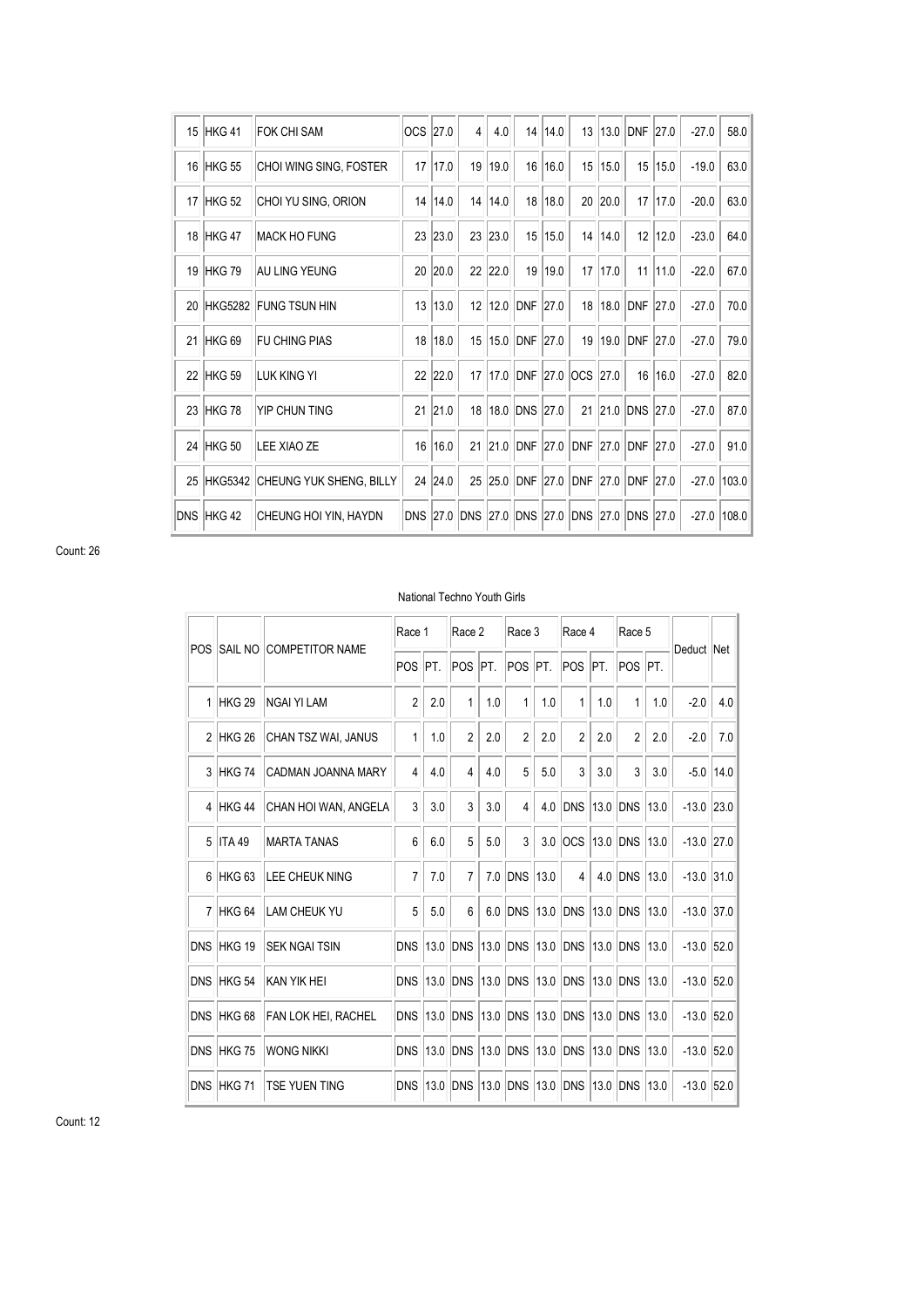| 15         | HKG41             | <b>FOK CHI SAM</b>      | OCS 27.0        |         | $\overline{4}$ | 4.0  | 14                  | 14.0    | 13         | 13.0 | <b>DNF</b>      | 27.0 | $-27.0$ | 58.0  |
|------------|-------------------|-------------------------|-----------------|---------|----------------|------|---------------------|---------|------------|------|-----------------|------|---------|-------|
| 16         | HKG <sub>55</sub> | CHOI WING SING, FOSTER  | 17              | 17.0    | 19             | 19.0 | 16                  | 16.0    | 15         | 15.0 | 15              | 15.0 | $-19.0$ | 63.0  |
| 17         | HKG <sub>52</sub> | CHOI YU SING, ORION     | 14              | 14.0    | 14             | 14.0 | 18                  | 18.0    | 20         | 20.0 | 17              | 17.0 | $-20.0$ | 63.0  |
| 18         | HKG47             | <b>MACK HO FUNG</b>     | 23              | 23.0    | 23             | 23.0 | 15 <sup>1</sup>     | 15.0    | 14         | 14.0 | 12              | 12.0 | $-23.0$ | 64.0  |
| 19         | HKG 79            | AU LING YEUNG           | 20              | 20.0    | 22             | 22.0 |                     | 19 19.0 | 17         | 17.0 | 11              | 11.0 | $-22.0$ | 67.0  |
| 20         | <b>HKG5282</b>    | <b>FUNG TSUN HIN</b>    | 13              | 13.0    | 12             |      | 12.0 DNF            | 27.0    | 18         | 18.0 | DNF             | 27.0 | $-27.0$ | 70.0  |
| 21         | HKG <sub>69</sub> | <b>FU CHING PIAS</b>    | 18              | 18.0    | 15             |      | 15.0 DNF 27.0       |         | 19         | 19.0 | <b>DNF</b>      | 27.0 | $-27.0$ | 79.0  |
| 22         | HKG <sub>59</sub> | <b>LUK KING YI</b>      |                 | 22 22.0 | 17             | 17.0 | <b>DNF 27.0 OCS</b> |         |            | 27.0 | 16              | 16.0 | $-27.0$ | 82.0  |
| 23         | HKG 78            | YIP CHUN TING           | 21              | 21.0    | 18             | 18.0 | <b>DNS</b>          | 27.0    | 21         | 21.0 | DNS             | 27.0 | $-27.0$ | 87.0  |
| 24         | HKG <sub>50</sub> | LEE XIAO ZE             | 16              | 16.0    | 21             | 21.0 | <b>DNF</b>          | 27.0    | <b>DNF</b> | 27.0 | <b>DNF</b>      | 27.0 | $-27.0$ | 91.0  |
| 25         | <b>HKG5342</b>    | CHEUNG YUK SHENG, BILLY | 24              | 24.0    | 25             | 25.0 | <b>DNF</b>          | 27.0    | <b>DNF</b> | 27.0 | <b>DNF</b>      | 27.0 | $-27.0$ | 103.0 |
| <b>DNS</b> | HKG42             | CHEUNG HOI YIN, HAYDN   | <b>DNS 27.0</b> |         | <b>DNS</b>     | 27.0 | DNS 27.0            |         | <b>DNS</b> | 27.0 | <b>DNS 27.0</b> |      | $-27.0$ | 108.0 |

## National Techno Youth Girls

| <b>POS</b>     | <b>SAIL NO</b>    | <b>COMPETITOR NAME</b>     | Race 1         |      | Race 2                  |      | Race 3         |      | Race 4          |      | Race 5             |      |              |      |
|----------------|-------------------|----------------------------|----------------|------|-------------------------|------|----------------|------|-----------------|------|--------------------|------|--------------|------|
|                |                   |                            | <b>POS</b>     | IPT. | POS PT.                 |      | <b>POS</b>     | PT.  | POS             | PT.  | POS <sup>IPT</sup> |      | Deduct Net   |      |
| $\mathbf{1}$   | HKG <sub>29</sub> | <b>NGAI YI LAM</b>         | $\overline{2}$ | 2.0  | 1                       | 1.0  | 1              | 1.0  | 1               | 1.0  | 1                  | 1.0  | $-2.0$       | 4.0  |
| $\mathfrak{p}$ | HKG <sub>26</sub> | CHAN TSZ WAI, JANUS        | $\mathbf{1}$   | 1.0  | $\overline{2}$          | 2.0  | $\overline{2}$ | 2.0  | $\overline{2}$  | 2.0  | $\overline{2}$     | 2.0  | $-2.0$       | 7.0  |
| 3              | HKG 74            | CADMAN JOANNA MARY         | $\overline{4}$ | 4.0  | $\overline{\mathbf{4}}$ | 4.0  | 5              | 5.0  | 3               | 3.0  | 3                  | 3.0  | $-5.0$       | 14.0 |
| 4              | <b>HKG44</b>      | CHAN HOI WAN, ANGELA       | $\overline{3}$ | 3.0  | 3                       | 3.0  | 4              | 4.0  | <b>DNS</b>      | 13.0 | <b>DNS</b>         | 13.0 | $-13.0$      | 23.0 |
| 5              | ITA 49            | <b>MARTA TANAS</b>         | 6              | 6.0  | 5                       | 5.0  | 3              | 3.0  | <b>OCS</b>      | 13.0 | <b>DNS</b>         | 13.0 | $-13.0$ 27.0 |      |
| 6              | HKG <sub>63</sub> | <b>LEE CHEUK NING</b>      | $\overline{7}$ | 7.0  | $\overline{7}$          | 7.0  | <b>DNS</b>     | 13.0 | $\overline{4}$  | 4.0  | <b>DNS</b>         | 13.0 | $-13.0$      | 31.0 |
| $\overline{7}$ | HKG <sub>64</sub> | <b>LAM CHEUK YU</b>        | 5              | 5.0  | 6                       | 6.0  | <b>DNS</b>     | 13.0 | <b>DNS</b>      | 13.0 | <b>DNS</b>         | 13.0 | $-13.0$      | 37.0 |
| <b>DNS</b>     | HKG 19            | <b>SEK NGAI TSIN</b>       | <b>DNS</b>     | 13.0 | <b>DNS</b>              | 13.0 | <b>DNS</b>     | 13.0 | <b>DNS 13.0</b> |      | <b>DNS</b>         | 13.0 | $-13.0$      | 52.0 |
| <b>DNS</b>     | HKG <sub>54</sub> | KAN YIK HEI                | <b>DNS</b>     | 13.0 | <b>DNS</b>              | 13.0 | <b>DNS</b>     | 13.0 | <b>DNS</b>      | 13.0 | <b>DNS</b>         | 13.0 | $-13.0$      | 52.0 |
| <b>DNS</b>     | HKG <sub>68</sub> | <b>FAN LOK HEI, RACHEL</b> | <b>DNS</b>     | 13.0 | <b>DNS</b>              | 13.0 | <b>DNS</b>     |      | 13.0 DNS        | 13.0 | <b>DNS</b>         | 13.0 | $-13.0$ 52.0 |      |
| <b>DNS</b>     | HKG 75            | <b>WONG NIKKI</b>          | <b>DNS</b>     | 13.0 | <b>DNS</b>              | 13.0 | <b>DNS</b>     | 13.0 | <b>DNS</b>      | 13.0 | <b>DNS</b>         | 13.0 | $-13.0$      | 52.0 |
| <b>DNS</b>     | HKG 71            | <b>TSE YUEN TING</b>       | <b>DNS</b>     | 13.0 | <b>DNS</b>              | 13.0 | <b>DNS</b>     | 13.0 | DNS             | 13.0 | <b>DNS</b>         | 13.0 | $-13.0$      | 52.0 |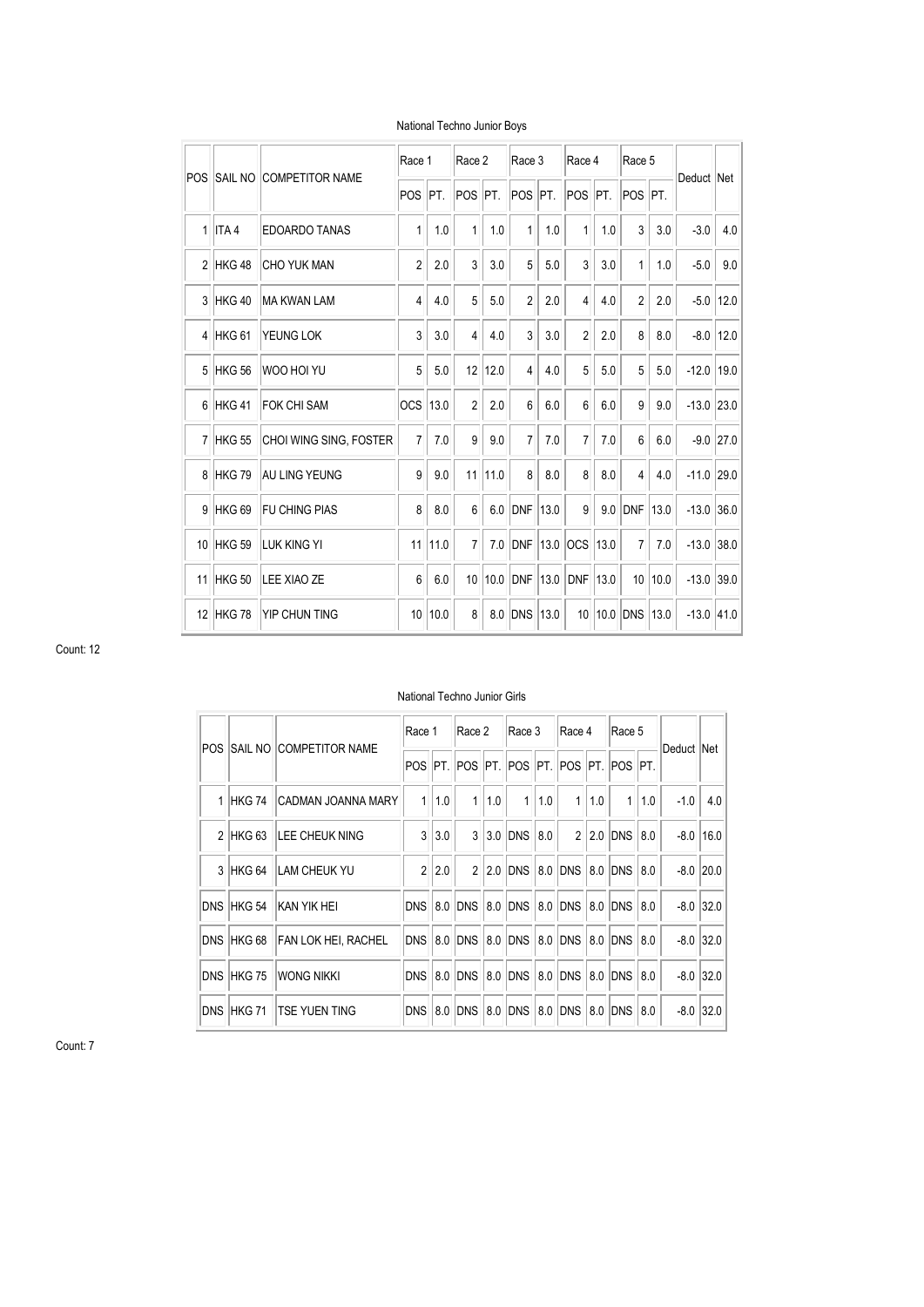| POS            |                   | <b>SAIL NO COMPETITOR NAME</b> | Race 1         |      | Race 2         |      | Race 3               |      | Race 4         |      | Race 5         |         | Deduct Net   |             |
|----------------|-------------------|--------------------------------|----------------|------|----------------|------|----------------------|------|----------------|------|----------------|---------|--------------|-------------|
|                |                   |                                | <b>POS</b>     | PT.  | POS            | PT.  | POS <sup>I</sup> PT. |      | POS PT.        |      | POS PT.        |         |              |             |
| $\mathbf{1}$   | ITA <sub>4</sub>  | <b>EDOARDO TANAS</b>           | 1              | 1.0  | 1              | 1.0  | 1                    | 1.0  | $\mathbf{1}$   | 1.0  | 3              | 3.0     | $-3.0$       | 4.0         |
| $\mathfrak{p}$ | HKG48             | <b>CHO YUK MAN</b>             | $\overline{2}$ | 2.0  | 3              | 3.0  | 5                    | 5.0  | 3              | 3.0  | 1              | 1.0     | $-5.0$       | 9.0         |
| 3              | HKG40             | <b>MA KWAN LAM</b>             | 4              | 4.0  | 5              | 5.0  | $\sqrt{2}$           | 2.0  | $\overline{4}$ | 4.0  | $\overline{2}$ | 2.0     | $-5.0$       | 12.0        |
| 4              | HKG <sub>61</sub> | YEUNG LOK                      | 3              | 3.0  | 4              | 4.0  | 3                    | 3.0  | $\overline{c}$ | 2.0  | 8              | 8.0     | $-8.0$       | $12.0$      |
| 5              | HKG 56            | WOO HOI YU                     | 5              | 5.0  | 12             | 12.0 | $\overline{4}$       | 4.0  | 5              | 5.0  | 5              | 5.0     | $-12.0$      | 19.0        |
| 6              | HKG41             | <b>FOK CHI SAM</b>             | <b>OCS</b>     | 13.0 | $\overline{2}$ | 2.0  | 6                    | 6.0  | 6              | 6.0  | 9              | 9.0     | $-13.0$ 23.0 |             |
| $\overline{7}$ | HKG 55            | CHOI WING SING, FOSTER         | $\overline{7}$ | 7.0  | 9              | 9.0  | $\overline{7}$       | 7.0  | $\overline{7}$ | 7.0  | 6              | 6.0     |              | $-9.0$ 27.0 |
| 8              | HKG 79            | AU LING YEUNG                  | 9              | 9.0  | 11             | 11.0 | 8                    | 8.0  | 8              | 8.0  | 4              | 4.0     | $-11.0$ 29.0 |             |
| 9              | HKG <sub>69</sub> | <b>FU CHING PIAS</b>           | 8              | 8.0  | 6              | 6.0  | <b>DNF</b>           | 13.0 | 9              | 9.0  | DNF            | 13.0    | $-13.0$ 36.0 |             |
| 10             | HKG <sub>59</sub> | LUK KING YI                    | 11             | 11.0 | $\overline{7}$ | 7.0  | <b>DNF</b>           | 13.0 | OCS 13.0       |      | $\overline{7}$ | 7.0     | $-13.0$ 38.0 |             |
| 11             | HKG 50            | LEE XIAO ZE                    | 6              | 6.0  | 10             | 10.0 | DNF                  | 13.0 | <b>DNF</b>     | 13.0 |                | 10 10.0 | $-13.0$ 39.0 |             |
| 12             | HKG 78            | YIP CHUN TING                  | 10             | 10.0 | 8              | 8.0  | <b>DNS</b>           | 13.0 | 10             | 10.0 | <b>DNS</b>     | 13.0    | $-13.0$ 41.0 |             |

#### National Techno Junior Boys

Count: 12

#### National Techno Junior Girls

| POS. |                   | <b>SAIL NO COMPETITOR NAME</b> | Race 1         |       | Race 2         |     | Race 3                                  |     | Race 4         |     | Race 5       |     | Deduct Net |               |
|------|-------------------|--------------------------------|----------------|-------|----------------|-----|-----------------------------------------|-----|----------------|-----|--------------|-----|------------|---------------|
|      |                   |                                |                |       |                |     | POS PT. POS PT. POS PT. POS PT. POS PT. |     |                |     |              |     |            |               |
|      | 1 HKG 74          | CADMAN JOANNA MARY             | $\mathbf{1}$   | 1.0   | $\mathbf{1}$   | 1.0 | 1                                       | 1.0 | 1              | 1.0 | $\mathbf{1}$ | 1.0 | $-1.0$     | 4.0           |
|      | 2 HKG 63          | <b>LEE CHEUK NING</b>          |                | 3 3.0 |                |     | 3 3.0 DNS 8.0                           |     | 2 <sup>1</sup> |     | 2.0 DNS 8.0  |     |            | $-8.0$   16.0 |
|      | 3 HKG 64          | <b>LAM CHEUK YU</b>            | $\mathfrak{p}$ | 2.0   | $\mathfrak{p}$ |     | 2.0 DNS 8.0 DNS 8.0 DNS 8.0             |     |                |     |              |     |            | $-8.0$ 20.0   |
|      | DNS HKG 54        | KAN YIK HEI                    | DNS            |       |                |     | 8.0 DNS 8.0 DNS 8.0 DNS                 |     |                |     | 8.0 DNS 8.0  |     |            | $-8.0$ 32.0   |
|      | DNS HKG 68        | FAN LOK HEI, RACHEL            | DNS            |       |                |     | 8.0 DNS 8.0 DNS 8.0 DNS 8.0 DNS 8.0     |     |                |     |              |     |            | $-8.0$ 32.0   |
|      | DNS HKG 75        | Wong Nikki                     | DNS            |       | 8.0 DNS        |     | 8.0 DNS 8.0 DNS                         |     |                |     | 8.0 DNS 8.0  |     |            | $-8.0$ 32.0   |
|      | <b>DNS HKG 71</b> | <b>TSE YUEN TING</b>           | DNS            |       | 8.0 DNS        |     | 8.0 DNS 8.0 DNS                         |     |                | 8.0 | DNS 8.0      |     |            | $-8.0$ 32.0   |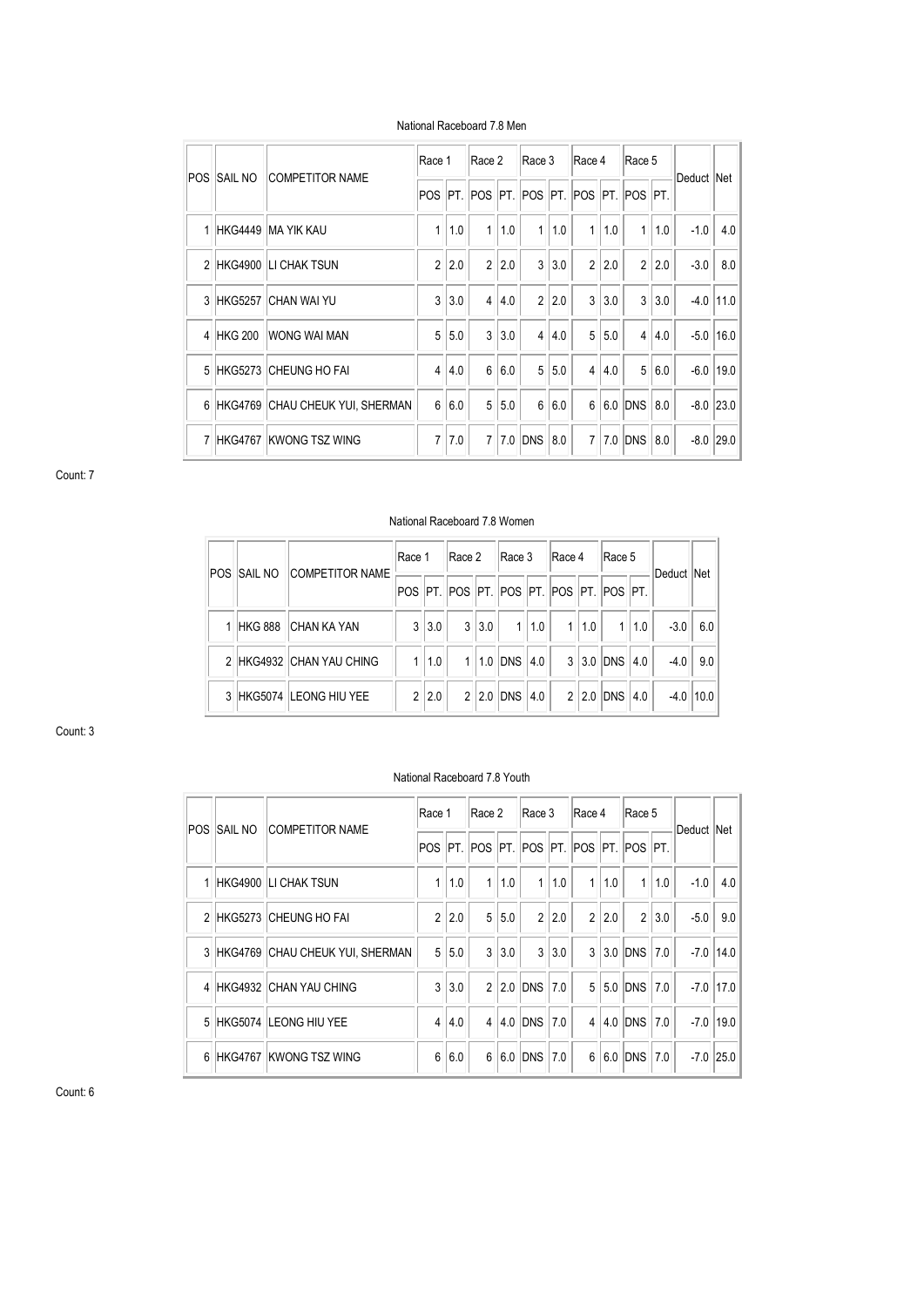| POS. | <b>SAIL NO</b> | <b>COMPETITOR NAME</b>            | Race 1           |       | Race 2         |     | Race 3                            |     | Race 4          |     | Race 5         |       | Deduct Net |               |
|------|----------------|-----------------------------------|------------------|-------|----------------|-----|-----------------------------------|-----|-----------------|-----|----------------|-------|------------|---------------|
|      |                |                                   |                  |       |                |     | POS   PT.   POS   PT.   POS   PT. |     | POS PT. POS PT. |     |                |       |            |               |
|      |                | 1 HKG4449 MA YIK KAU              | $\mathbf{1}$     | 1.0   | 1              | 1.0 | $\mathbf{1}$                      | 1.0 | $\mathbf{1}$    | 1.0 | 1 <sup>1</sup> | 1.0   | $-1.0$     | 4.0           |
|      |                | 2 HKG4900 LICHAK TSUN             |                  | 2 2.0 | $\overline{2}$ | 2.0 | 3                                 | 3.0 | $\overline{2}$  | 2.0 |                | 2 2.0 | $-3.0$     | 8.0           |
|      | 3 HKG5257      | ICHAN WAI YU                      | $\mathbf{3}$     | 3.0   | $\overline{4}$ | 4.0 | $\overline{2}$                    | 2.0 | $\overline{3}$  | 3.0 |                | 3 3.0 |            | $-4.0$   11.0 |
|      | 4 HKG 200      | WONG WAI MAN                      |                  | 5 5.0 | $\mathbf{3}$   | 3.0 | $\overline{4}$                    | 4.0 | 5 <sup>1</sup>  | 5.0 | 4              | 4.0   |            | $-5.0$   16.0 |
|      |                | 5 HKG5273 CHEUNG HO FAI           |                  | 4 4.0 | $6\phantom{.}$ | 6.0 | 5                                 | 5.0 | $\overline{4}$  | 4.0 |                | 5 6.0 |            | $-6.0$   19.0 |
|      |                | 6 HKG4769 CHAU CHEUK YUI, SHERMAN | $6 \overline{6}$ | 6.0   | 5 <sup>5</sup> | 5.0 | $6 \,$                            | 6.0 | 6               |     | 6.0 DNS 8.0    |       |            | $-8.0$ 23.0   |
|      |                | 7 HKG4767 KWONG TSZ WING          |                  | 7 7.0 | $\overline{7}$ |     | 7.0 DNS                           | 8.0 | $\overline{7}$  |     | 7.0 DNS 8.0    |       |            | $-8.0$ 29.0   |

#### National Raceboard 7.8 Men

Count: 7

# National Raceboard 7.8 Women

| POS ISAIL NO | <b>COMPETITOR NAME</b>   | Race 1         |       | Race 2 |  | Race 3                |  | Race 4 |  | Race 5                                                    |       |            |               |
|--------------|--------------------------|----------------|-------|--------|--|-----------------------|--|--------|--|-----------------------------------------------------------|-------|------------|---------------|
|              |                          |                |       |        |  |                       |  |        |  | POS   PT.   POS   PT.   POS   PT.   POS   PT.   POS   PT. |       | Deduct Net |               |
|              | 1 HKG 888 CHAN KA YAN    |                | 3 3.0 |        |  | $3 3.0 $ 1 1.0  1 1.0 |  |        |  |                                                           | 1 1.0 | $-3.0$     | 6.0           |
|              | 2 HKG4932 CHAN YAU CHING |                | 1.0   |        |  | $1$  1.0 DNS 4.0      |  |        |  | 3 3.0 DNS 4.0                                             |       |            | $-4.0$ 9.0    |
|              | 3 HKG5074 LEONG HIU YEE  | 2 <sub>1</sub> | 2.0   |        |  | 2 2.0 DNS 4.0         |  |        |  | 2 2.0 DNS 4.0                                             |       |            | $-4.0$   10.0 |

Count: 3

# National Raceboard 7.8 Youth

|   | POS ISAIL NO | <b>COMPETITOR NAME</b>            |                | Race 1      |                | Race 2 |                                           | Race 3 |                | Race 4 |                | Race 5 | Deduct Net |               |
|---|--------------|-----------------------------------|----------------|-------------|----------------|--------|-------------------------------------------|--------|----------------|--------|----------------|--------|------------|---------------|
|   |              |                                   |                |             |                |        | POS PT POS PT POS PT POS PT POS PT POS PT |        |                |        |                |        |            |               |
| 1 |              | <b>HKG4900 LI CHAK TSUN</b>       | 1              | $\vert$ 1.0 | $\mathbf{1}$   | 1.0    | 1 <sup>1</sup>                            | 1.0    | $\mathbf{1}$   | 1.0    | $\mathbf{1}$   | 1.0    | $-1.0$     | 4.0           |
|   |              | 2 HKG5273 CHEUNG HO FAI           | $\overline{2}$ | 2.0         | 5 <sup>5</sup> | 5.0    | $\overline{2}$                            | 2.0    | $\overline{2}$ | 2.0    | $\overline{2}$ | 3.0    | $-5.0$     | 9.0           |
|   |              | 3 HKG4769 CHAU CHEUK YUI, SHERMAN | 5 <sup>1</sup> | 5.0         | $\mathbf{3}$   | 3.0    | $\mathbf{3}$                              | 3.0    |                |        | $3 3.0 $ DNS   | 7.0    |            | $-7.0$   14.0 |
|   |              | 4 HKG4932 CHAN YAU CHING          | 3              | 3.0         |                |        | 2 2.0 DNS 7.0                             |        | 5 <sup>1</sup> |        | 5.0 DNS        | 7.0    |            | $-7.0$   17.0 |
|   |              | 5 HKG5074 LEONG HIU YEE           | $\overline{4}$ | 4.0         | 4 <sup>1</sup> |        | 4.0 DNS                                   | 7.0    | 4 <sup>1</sup> |        | 4.0 DNS        | 7.0    |            | $-7.0$ 19.0   |
|   |              | 6 HKG4767 KWONG TSZ WING          | 6              | 6.0         |                |        | 6 6.0 DNS                                 | 7.0    | 6              |        | 6.0 DNS        | 7.0    |            | $-7.0$ 25.0   |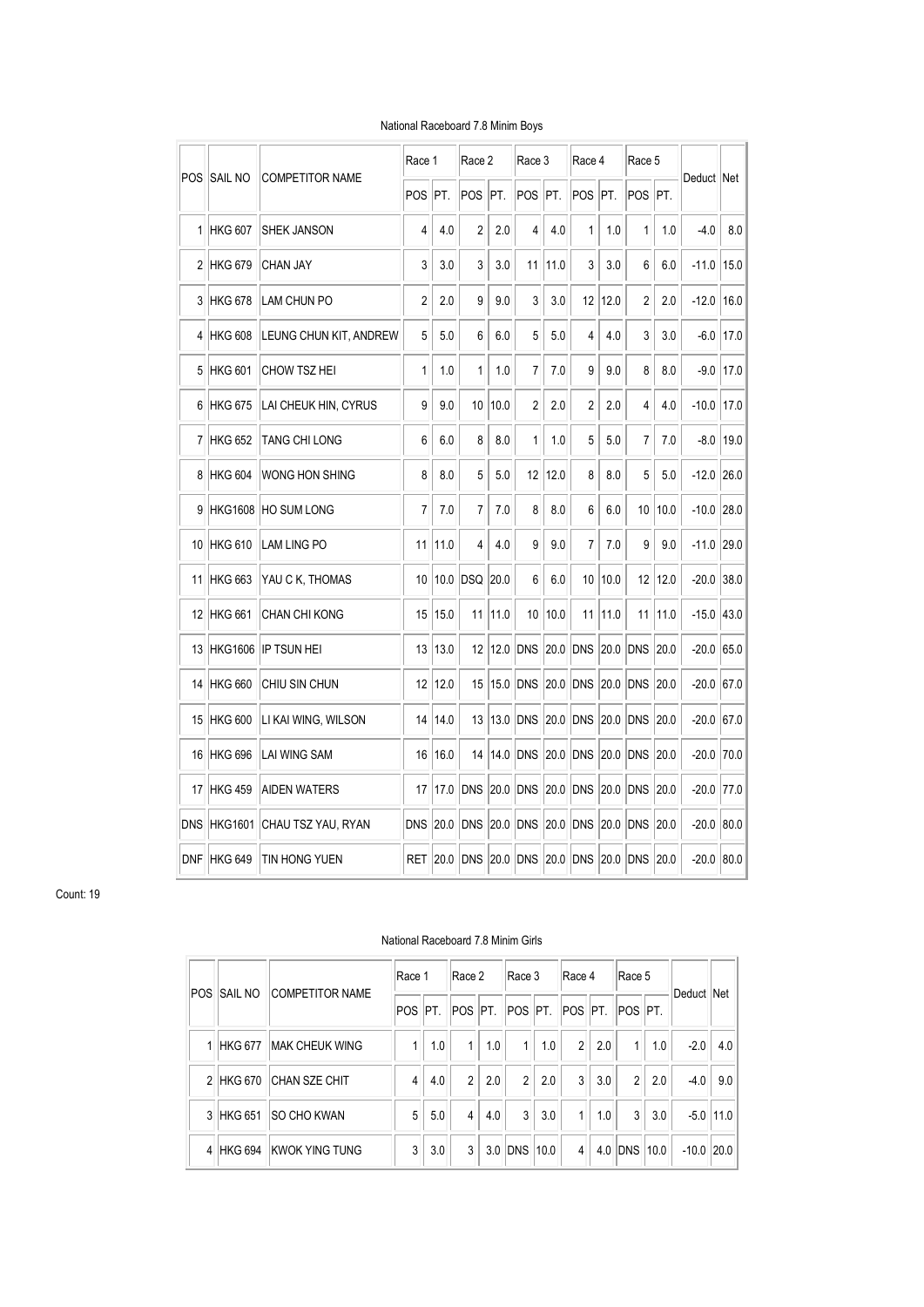|            |                |                        | Race 1         |      | Race 2      |      | Race 3          |      | Race 4         |      | Race 5     |      | Deduct Net |      |
|------------|----------------|------------------------|----------------|------|-------------|------|-----------------|------|----------------|------|------------|------|------------|------|
| <b>POS</b> | <b>SAIL NO</b> | <b>COMPETITOR NAME</b> | POS            | PT.  | POS         | PT.  | POS             | PT.  | POS            | IPT. | POS        | IPT. |            |      |
| 1          | <b>HKG 607</b> | <b>SHEK JANSON</b>     | 4              | 4.0  | 2           | 2.0  | 4               | 4.0  | 1              | 1.0  | 1          | 1.0  | $-4.0$     | 8.0  |
|            | 2 HKG 679      | CHAN JAY               | 3              | 3.0  | 3           | 3.0  | 11              | 11.0 | 3              | 3.0  | 6          | 6.0  | -11.0      | 15.0 |
| 3          | <b>HKG 678</b> | <b>LAM CHUN PO</b>     | $\overline{c}$ | 2.0  | 9           | 9.0  | 3               | 3.0  | 12             | 12.0 | 2          | 2.0  | $-12.0$    | 16.0 |
|            | 4 HKG 608      | LEUNG CHUN KIT, ANDREW | 5              | 5.0  | 6           | 6.0  | 5               | 5.0  | 4              | 4.0  | 3          | 3.0  | $-6.0$     | 17.0 |
| 5          | <b>HKG 601</b> | CHOW TSZ HEI           | 1              | 1.0  | 1           | 1.0  | 7               | 7.0  | 9              | 9.0  | 8          | 8.0  | $-9.0$     | 17.0 |
| 6          | <b>HKG 675</b> | LAI CHEUK HIN, CYRUS   | 9              | 9.0  | 10          | 10.0 | $\overline{2}$  | 2.0  | $\overline{2}$ | 2.0  | 4          | 4.0  | $-10.0$    | 17.0 |
| 7          | <b>HKG 652</b> | TANG CHI LONG          | 6              | 6.0  | 8           | 8.0  | 1               | 1.0  | 5              | 5.0  | 7          | 7.0  | -8.0       | 19.0 |
| 8          | <b>HKG 604</b> | WONG HON SHING         | 8              | 8.0  | 5           | 5.0  | 12              | 12.0 | 8              | 8.0  | 5          | 5.0  | $-12.0$    | 26.0 |
| 9          | <b>HKG1608</b> | <b>HO SUM LONG</b>     | 7              | 7.0  | 7           | 7.0  | 8               | 8.0  | 6              | 6.0  | 10         | 10.0 | $-10.0$    | 28.0 |
| 10         | HKG 610        | LAM LING PO            | 11             | 11.0 | 4           | 4.0  | 9               | 9.0  | 7              | 7.0  | 9          | 9.0  | $-11.0$    | 29.0 |
| 11         | <b>HKG 663</b> | YAU C K, THOMAS        | 10             | 10.0 | DSQ         | 20.0 | 6               | 6.0  | 10             | 10.0 | 12         | 12.0 | $-20.0$    | 38.0 |
|            | 12 HKG 661     | <b>CHAN CHI KONG</b>   | 15             | 15.0 | 11          | 11.0 | 10 <sup>1</sup> | 10.0 | 11             | 11.0 | 11         | 11.0 | $-15.0$    | 43.0 |
| 13         | <b>HKG1606</b> | <b>IP TSUN HEI</b>     | 13             | 13.0 | 12          | 12.0 | <b>DNS</b>      | 20.0 | DNS            |      | 20.0 DNS   | 20.0 | $-20.0$    | 65.0 |
| 14         | <b>HKG 660</b> | CHIU SIN CHUN          | 12             | 12.0 | 15          | 15.0 | <b>DNS</b>      | 20.0 | <b>DNS</b>     | 20.0 | <b>DNS</b> | 20.0 | $-20.0$    | 67.0 |
| 15         | <b>HKG 600</b> | LI KAI WING, WILSON    | 14             | 14.0 | 13          | 13.0 | <b>DNS</b>      | 20.0 | <b>DNS</b>     | 20.0 | <b>DNS</b> | 20.0 | $-20.0$    | 67.0 |
| 16         | <b>HKG 696</b> | LAI WING SAM           | 16             | 16.0 | 14          | 14.0 | <b>DNS</b>      | 20.0 | <b>DNS</b>     | 20.0 | <b>DNS</b> | 20.0 | -20.0      | 70.0 |
|            | 17 HKG 459     | <b>AIDEN WATERS</b>    | 17             | 17.0 | <b>DNS</b>  | 20.0 | <b>DNS</b>      | 20.0 | DNS            | 20.0 | <b>DNS</b> | 20.0 | $-20.0$    | 77.0 |
| DNS        | <b>HKG1601</b> | CHAU TSZ YAU, RYAN     | <b>DNS</b>     | 20.0 | <b>DNS</b>  | 20.0 | <b>DNS</b>      | 20.0 | <b>DNS</b>     | 20.0 | <b>DNS</b> | 20.0 | -20.0      | 80.0 |
|            | DNF HKG 649    | TIN HONG YUEN          | <b>RET</b>     | 20.0 | <b>IDNS</b> | 20.0 | <b>DNS</b>      | 20.0 | <b>DNS</b>     | 20.0 | <b>DNS</b> | 20.0 | $-20.0$    | 80.0 |

# National Raceboard 7.8 Minim Boys

Count: 19

#### National Raceboard 7.8 Minim Girls

| <b>POS</b> | Isail no  | <b>COMPETITOR NAME</b>   | Race 1         |     | Race 2         |     | Race 3         |     | Race 4                  |     | Race 5         |     | Deduct Net    |               |
|------------|-----------|--------------------------|----------------|-----|----------------|-----|----------------|-----|-------------------------|-----|----------------|-----|---------------|---------------|
|            |           |                          | <b>POS</b>     | PT  | POS PT.        |     |                |     | POS PT. POS PT. POS PT. |     |                |     |               |               |
|            |           | 1 HKG 677 MAK CHEUK WING | $\mathbf{1}$   | 1.0 | 1 <sub>1</sub> | 1.0 | 1              | 1.0 | 2 <sup>1</sup>          | 2.0 | $\mathbf{1}$   | 1.0 | $-2.0$        | 4.0           |
|            | 2 HKG 670 | <b>CHAN SZE CHIT</b>     | $\overline{4}$ | 4.0 | $\overline{2}$ | 2.0 | $\overline{2}$ | 2.0 | 3 <sup>1</sup>          | 3.0 | $\overline{2}$ | 2.0 | $-4.0$        | 9.0           |
|            | 3 HKG 651 | <b>SO CHO KWAN</b>       | 5              | 5.0 | $\overline{4}$ | 4.0 | 3              | 3.0 | 1 <sup>1</sup>          | 1.0 | 3              | 3.0 |               | $-5.0$   11.0 |
|            |           | 4 HKG 694 KWOK YING TUNG | 3              | 3.0 | 3 <sup>1</sup> |     | 3.0 DNS 10.0   |     | $\overline{4}$          |     | 4.0 DNS 10.0   |     | $-10.0$  20.0 |               |